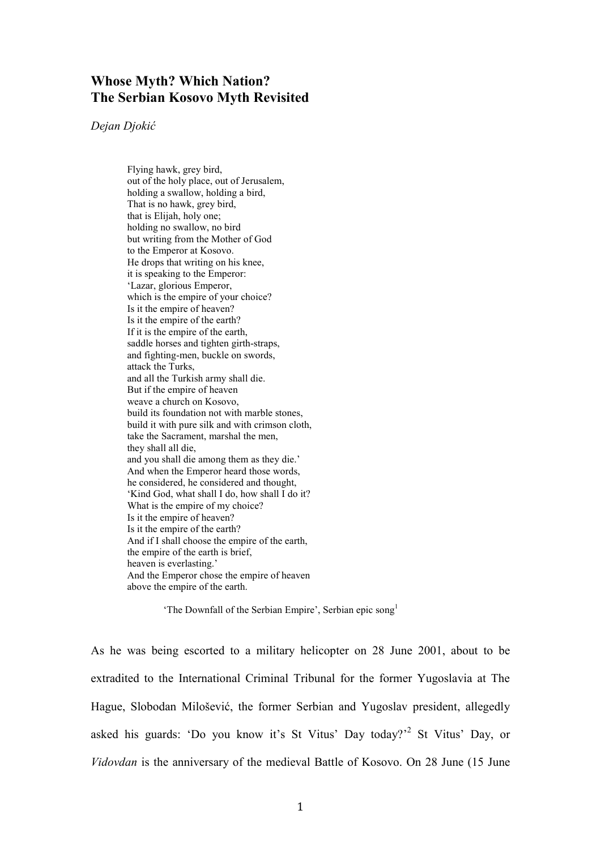# **Whose Myth? Which Nation? The Serbian Kosovo Myth Revisited**

## *Dejan Djokić*

Flying hawk, grey bird, out of the holy place, out of Jerusalem, holding a swallow, holding a bird, That is no hawk, grey bird, that is Elijah, holy one; holding no swallow, no bird but writing from the Mother of God to the Emperor at Kosovo. He drops that writing on his knee, it is speaking to the Emperor: 'Lazar, glorious Emperor, which is the empire of your choice? Is it the empire of heaven? Is it the empire of the earth? If it is the empire of the earth, saddle horses and tighten girth-straps, and fighting-men, buckle on swords, attack the Turks, and all the Turkish army shall die. But if the empire of heaven weave a church on Kosovo, build its foundation not with marble stones, build it with pure silk and with crimson cloth, take the Sacrament, marshal the men, they shall all die, and you shall die among them as they die.' And when the Emperor heard those words, he considered, he considered and thought, 'Kind God, what shall I do, how shall I do it? What is the empire of my choice? Is it the empire of heaven? Is it the empire of the earth? And if I shall choose the empire of the earth, the empire of the earth is brief, heaven is everlasting.' And the Emperor chose the empire of heaven above the empire of the earth.

'The Downfall of the Serbian Empire', Serbian epic song<sup>1</sup>

As he was being escorted to a military helicopter on 28 June 2001, about to be extradited to the International Criminal Tribunal for the former Yugoslavia at The Hague, Slobodan Milošević, the former Serbian and Yugoslav president, allegedly asked his guards: 'Do you know it's St Vitus' Day today?'<sup>2</sup> St Vitus' Day, or *Vidovdan* is the anniversary of the medieval Battle of Kosovo. On 28 June (15 June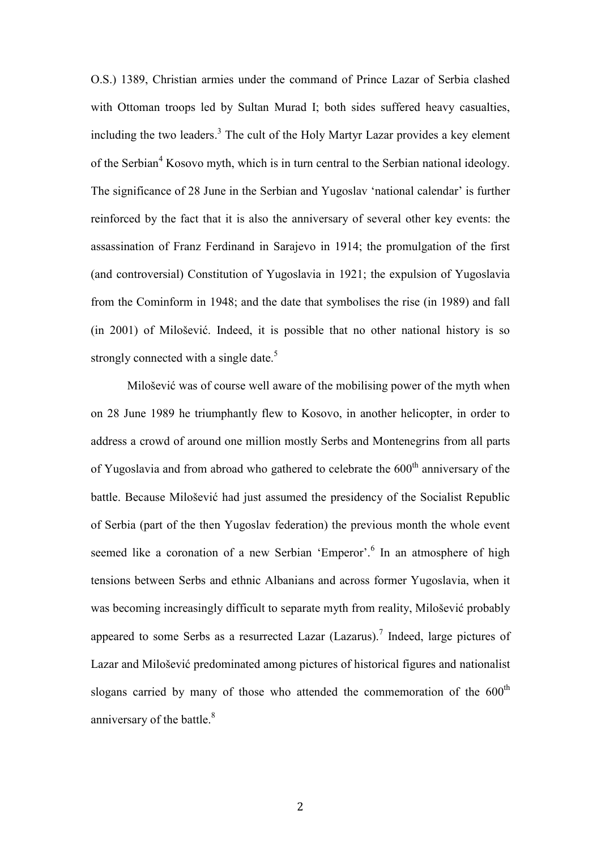O.S.) 1389, Christian armies under the command of Prince Lazar of Serbia clashed with Ottoman troops led by Sultan Murad I; both sides suffered heavy casualties, including the two leaders.<sup>3</sup> The cult of the Holy Martyr Lazar provides a key element of the Serbian<sup>4</sup> Kosovo myth, which is in turn central to the Serbian national ideology. The significance of 28 June in the Serbian and Yugoslav 'national calendar' is further reinforced by the fact that it is also the anniversary of several other key events: the assassination of Franz Ferdinand in Sarajevo in 1914; the promulgation of the first (and controversial) Constitution of Yugoslavia in 1921; the expulsion of Yugoslavia from the Cominform in 1948; and the date that symbolises the rise (in 1989) and fall (in 2001) of Milošević. Indeed, it is possible that no other national history is so strongly connected with a single date.<sup>5</sup>

Milošević was of course well aware of the mobilising power of the myth when on 28 June 1989 he triumphantly flew to Kosovo, in another helicopter, in order to address a crowd of around one million mostly Serbs and Montenegrins from all parts of Yugoslavia and from abroad who gathered to celebrate the  $600<sup>th</sup>$  anniversary of the battle. Because Milošević had just assumed the presidency of the Socialist Republic of Serbia (part of the then Yugoslav federation) the previous month the whole event seemed like a coronation of a new Serbian 'Emperor'.<sup>6</sup> In an atmosphere of high tensions between Serbs and ethnic Albanians and across former Yugoslavia, when it was becoming increasingly difficult to separate myth from reality, Milošević probably appeared to some Serbs as a resurrected Lazar  $(Lazarus)$ .<sup>7</sup> Indeed, large pictures of Lazar and Milošević predominated among pictures of historical figures and nationalist slogans carried by many of those who attended the commemoration of the  $600<sup>th</sup>$ anniversary of the battle.<sup>8</sup>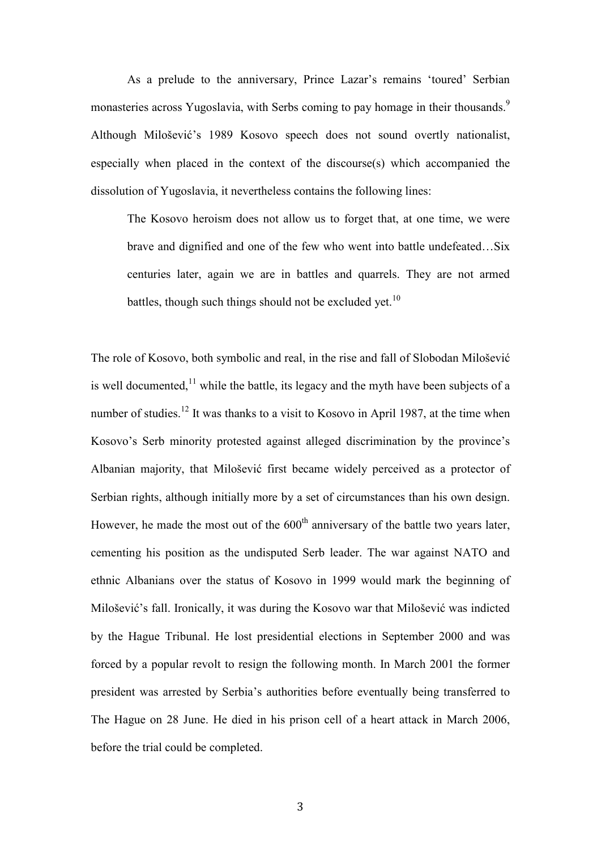As a prelude to the anniversary, Prince Lazar's remains 'toured' Serbian monasteries across Yugoslavia, with Serbs coming to pay homage in their thousands.<sup>9</sup> Although Milošević's 1989 Kosovo speech does not sound overtly nationalist, especially when placed in the context of the discourse(s) which accompanied the dissolution of Yugoslavia, it nevertheless contains the following lines:

The Kosovo heroism does not allow us to forget that, at one time, we were brave and dignified and one of the few who went into battle undefeated…Six centuries later, again we are in battles and quarrels. They are not armed battles, though such things should not be excluded yet.<sup>10</sup>

The role of Kosovo, both symbolic and real, in the rise and fall of Slobodan Milošević is well documented, $^{11}$  while the battle, its legacy and the myth have been subjects of a number of studies.<sup>12</sup> It was thanks to a visit to Kosovo in April 1987, at the time when Kosovo's Serb minority protested against alleged discrimination by the province's Albanian majority, that Milošević first became widely perceived as a protector of Serbian rights, although initially more by a set of circumstances than his own design. However, he made the most out of the  $600<sup>th</sup>$  anniversary of the battle two years later, cementing his position as the undisputed Serb leader. The war against NATO and ethnic Albanians over the status of Kosovo in 1999 would mark the beginning of Milošević's fall. Ironically, it was during the Kosovo war that Milošević was indicted by the Hague Tribunal. He lost presidential elections in September 2000 and was forced by a popular revolt to resign the following month. In March 2001 the former president was arrested by Serbia's authorities before eventually being transferred to The Hague on 28 June. He died in his prison cell of a heart attack in March 2006, before the trial could be completed.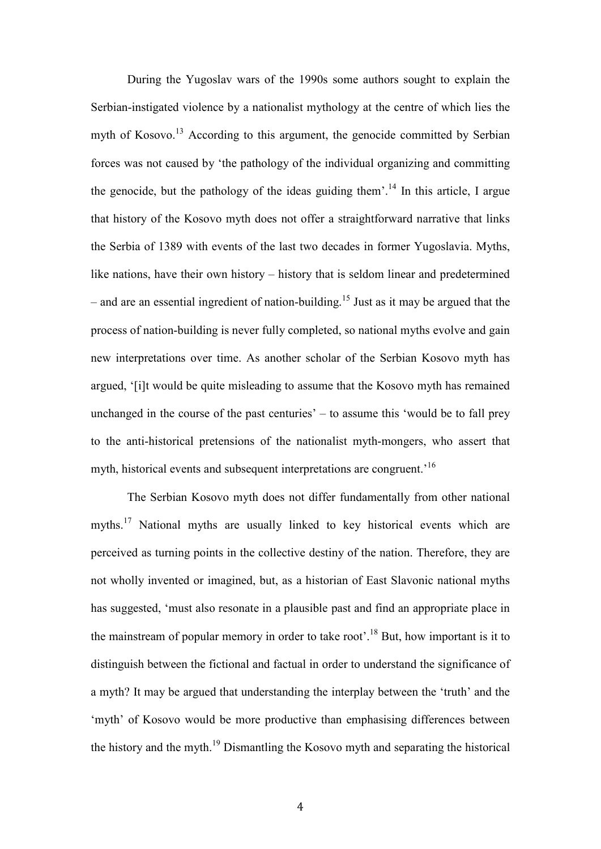During the Yugoslav wars of the 1990s some authors sought to explain the Serbian-instigated violence by a nationalist mythology at the centre of which lies the myth of Kosovo.<sup>13</sup> According to this argument, the genocide committed by Serbian forces was not caused by 'the pathology of the individual organizing and committing the genocide, but the pathology of the ideas guiding them'.<sup>14</sup> In this article, I argue that history of the Kosovo myth does not offer a straightforward narrative that links the Serbia of 1389 with events of the last two decades in former Yugoslavia. Myths, like nations, have their own history – history that is seldom linear and predetermined – and are an essential ingredient of nation-building. <sup>15</sup> Just as it may be argued that the process of nation-building is never fully completed, so national myths evolve and gain new interpretations over time. As another scholar of the Serbian Kosovo myth has argued, '[i]t would be quite misleading to assume that the Kosovo myth has remained unchanged in the course of the past centuries' – to assume this 'would be to fall prey to the anti-historical pretensions of the nationalist myth-mongers, who assert that myth, historical events and subsequent interpretations are congruent.<sup>16</sup>

The Serbian Kosovo myth does not differ fundamentally from other national myths.<sup>17</sup> National myths are usually linked to key historical events which are perceived as turning points in the collective destiny of the nation. Therefore, they are not wholly invented or imagined, but, as a historian of East Slavonic national myths has suggested, 'must also resonate in a plausible past and find an appropriate place in the mainstream of popular memory in order to take root'.<sup>18</sup> But, how important is it to distinguish between the fictional and factual in order to understand the significance of a myth? It may be argued that understanding the interplay between the 'truth' and the 'myth' of Kosovo would be more productive than emphasising differences between the history and the myth.<sup>19</sup> Dismantling the Kosovo myth and separating the historical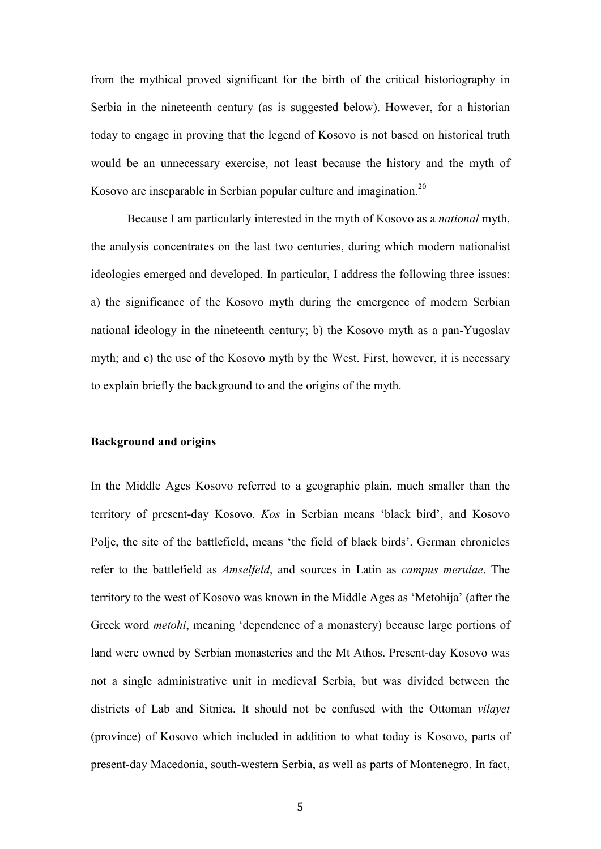from the mythical proved significant for the birth of the critical historiography in Serbia in the nineteenth century (as is suggested below). However, for a historian today to engage in proving that the legend of Kosovo is not based on historical truth would be an unnecessary exercise, not least because the history and the myth of Kosovo are inseparable in Serbian popular culture and imagination.<sup>20</sup>

Because I am particularly interested in the myth of Kosovo as a *national* myth, the analysis concentrates on the last two centuries, during which modern nationalist ideologies emerged and developed. In particular, I address the following three issues: a) the significance of the Kosovo myth during the emergence of modern Serbian national ideology in the nineteenth century; b) the Kosovo myth as a pan-Yugoslav myth; and c) the use of the Kosovo myth by the West. First, however, it is necessary to explain briefly the background to and the origins of the myth.

## **Background and origins**

In the Middle Ages Kosovo referred to a geographic plain, much smaller than the territory of present-day Kosovo. *Kos* in Serbian means 'black bird', and Kosovo Polje, the site of the battlefield, means 'the field of black birds'. German chronicles refer to the battlefield as *Amselfeld*, and sources in Latin as *campus merulae*. The territory to the west of Kosovo was known in the Middle Ages as 'Metohija' (after the Greek word *metohi*, meaning 'dependence of a monastery) because large portions of land were owned by Serbian monasteries and the Mt Athos. Present-day Kosovo was not a single administrative unit in medieval Serbia, but was divided between the districts of Lab and Sitnica. It should not be confused with the Ottoman *vilayet* (province) of Kosovo which included in addition to what today is Kosovo, parts of present-day Macedonia, south-western Serbia, as well as parts of Montenegro. In fact,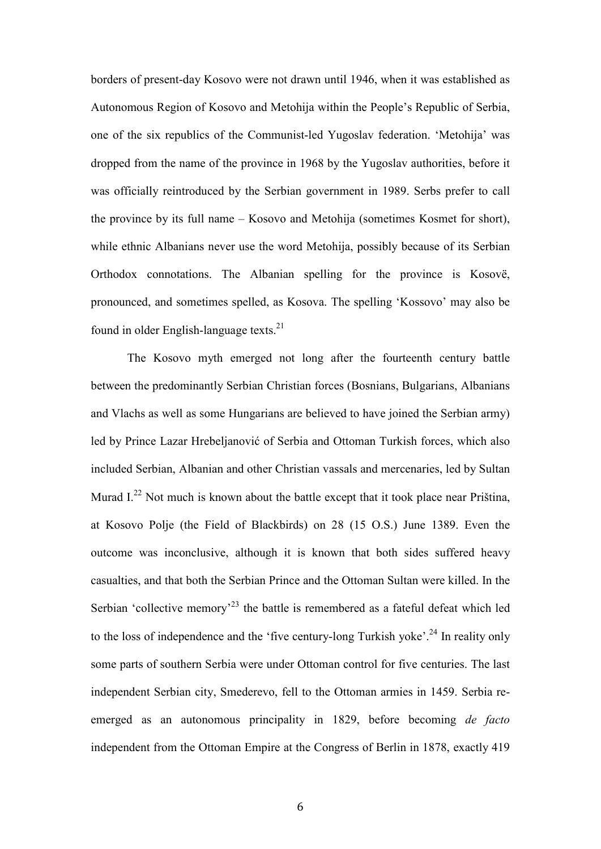borders of present-day Kosovo were not drawn until 1946, when it was established as Autonomous Region of Kosovo and Metohija within the People's Republic of Serbia, one of the six republics of the Communist-led Yugoslav federation. 'Metohija' was dropped from the name of the province in 1968 by the Yugoslav authorities, before it was officially reintroduced by the Serbian government in 1989. Serbs prefer to call the province by its full name – Kosovo and Metohija (sometimes Kosmet for short), while ethnic Albanians never use the word Metohija, possibly because of its Serbian Orthodox connotations. The Albanian spelling for the province is Kosovë, pronounced, and sometimes spelled, as Kosova. The spelling 'Kossovo' may also be found in older English-language texts. $^{21}$ 

The Kosovo myth emerged not long after the fourteenth century battle between the predominantly Serbian Christian forces (Bosnians, Bulgarians, Albanians and Vlachs as well as some Hungarians are believed to have joined the Serbian army) led by Prince Lazar Hrebeljanović of Serbia and Ottoman Turkish forces, which also included Serbian, Albanian and other Christian vassals and mercenaries, led by Sultan Murad  $I^{22}$  Not much is known about the battle except that it took place near Priština, at Kosovo Polje (the Field of Blackbirds) on 28 (15 O.S.) June 1389. Even the outcome was inconclusive, although it is known that both sides suffered heavy casualties, and that both the Serbian Prince and the Ottoman Sultan were killed. In the Serbian 'collective memory<sup>23</sup> the battle is remembered as a fateful defeat which led to the loss of independence and the 'five century-long Turkish yoke'.<sup>24</sup> In reality only some parts of southern Serbia were under Ottoman control for five centuries. The last independent Serbian city, Smederevo, fell to the Ottoman armies in 1459. Serbia reemerged as an autonomous principality in 1829, before becoming *de facto* independent from the Ottoman Empire at the Congress of Berlin in 1878, exactly 419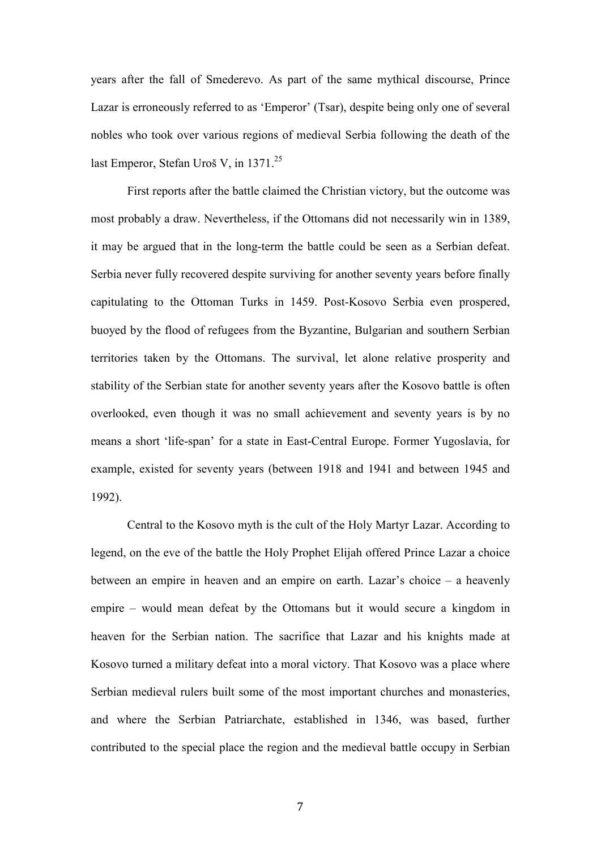years after the fall of Smederevo. As part of the same mythical discourse, Prince Lazar is erroneously referred to as 'Emperor' (Tsar), despite being only one of several nobles who took over various regions of medieval Serbia following the death of the last Emperor, Stefan Uroš V, in  $1371.^{25}$ 

First reports after the battle claimed the Christian victory, but the outcome was most probably a draw. Nevertheless, if the Ottomans did not necessarily win in 1389, it may be argued that in the long-term the battle could be seen as a Serbian defeat. Serbia never fully recovered despite surviving for another seventy years before finally capitulating to the Ottoman Turks in 1459. Post-Kosovo Serbia even prospered, buoyed by the flood of refugees from the Byzantine, Bulgarian and southern Serbian territories taken by the Ottomans. The survival, let alone relative prosperity and stability of the Serbian state for another seventy years after the Kosovo battle is often overlooked, even though it was no small achievement and seventy years is by no means a short 'life-span' for a state in East-Central Europe. Former Yugoslavia, for example, existed for seventy years (between 1918 and 1941 and between 1945 and 1992).

Central to the Kosovo myth is the cult of the Holy Martyr Lazar. According to legend, on the eve of the battle the Holy Prophet Elijah offered Prince Lazar a choice between an empire in heaven and an empire on earth. Lazar's choice – a heavenly empire – would mean defeat by the Ottomans but it would secure a kingdom in heaven for the Serbian nation. The sacrifice that Lazar and his knights made at Kosovo turned a military defeat into a moral victory. That Kosovo was a place where Serbian medieval rulers built some of the most important churches and monasteries, and where the Serbian Patriarchate, established in 1346, was based, further contributed to the special place the region and the medieval battle occupy in Serbian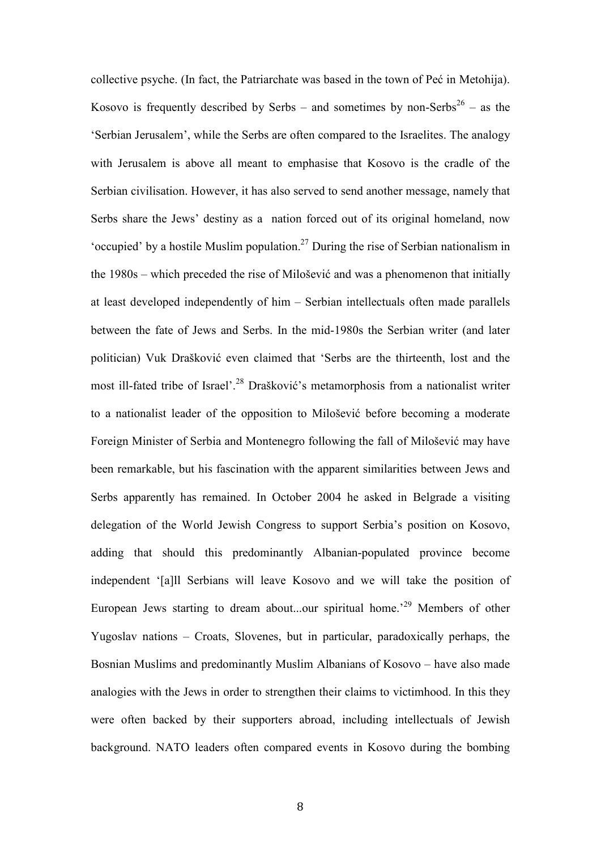collective psyche. (In fact, the Patriarchate was based in the town of Peć in Metohija). Kosovo is frequently described by Serbs – and sometimes by non-Serbs<sup>26</sup> – as the 'Serbian Jerusalem', while the Serbs are often compared to the Israelites. The analogy with Jerusalem is above all meant to emphasise that Kosovo is the cradle of the Serbian civilisation. However, it has also served to send another message, namely that Serbs share the Jews' destiny as a nation forced out of its original homeland, now 'occupied' by a hostile Muslim population.<sup>27</sup> During the rise of Serbian nationalism in the 1980s – which preceded the rise of Milošević and was a phenomenon that initially at least developed independently of him – Serbian intellectuals often made parallels between the fate of Jews and Serbs. In the mid-1980s the Serbian writer (and later politician) Vuk Drašković even claimed that 'Serbs are the thirteenth, lost and the most ill-fated tribe of Israel'.<sup>28</sup> Drašković's metamorphosis from a nationalist writer to a nationalist leader of the opposition to Milošević before becoming a moderate Foreign Minister of Serbia and Montenegro following the fall of Milošević may have been remarkable, but his fascination with the apparent similarities between Jews and Serbs apparently has remained. In October 2004 he asked in Belgrade a visiting delegation of the World Jewish Congress to support Serbia's position on Kosovo, adding that should this predominantly Albanian-populated province become independent '[a]ll Serbians will leave Kosovo and we will take the position of European Jews starting to dream about...our spiritual home.<sup>29</sup> Members of other Yugoslav nations – Croats, Slovenes, but in particular, paradoxically perhaps, the Bosnian Muslims and predominantly Muslim Albanians of Kosovo – have also made analogies with the Jews in order to strengthen their claims to victimhood. In this they were often backed by their supporters abroad, including intellectuals of Jewish background. NATO leaders often compared events in Kosovo during the bombing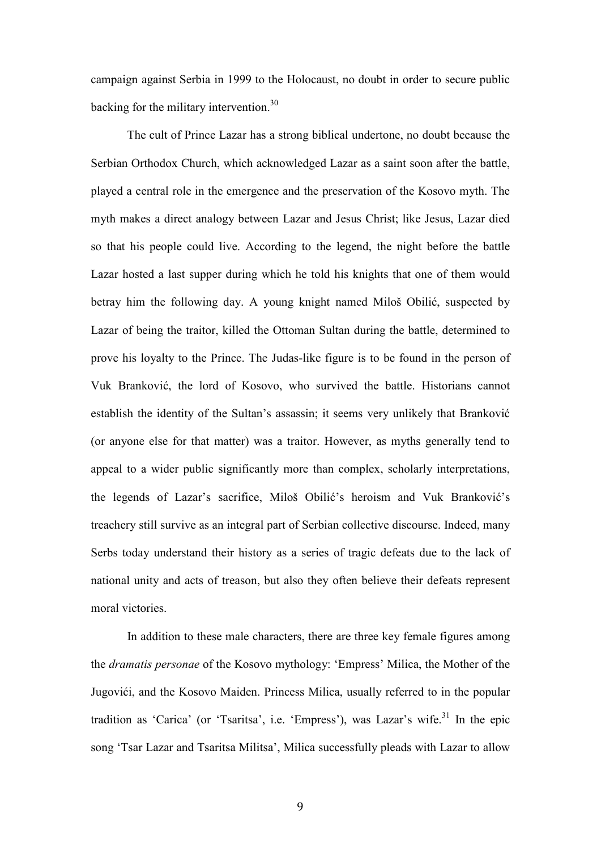campaign against Serbia in 1999 to the Holocaust, no doubt in order to secure public backing for the military intervention.<sup>30</sup>

The cult of Prince Lazar has a strong biblical undertone, no doubt because the Serbian Orthodox Church, which acknowledged Lazar as a saint soon after the battle, played a central role in the emergence and the preservation of the Kosovo myth. The myth makes a direct analogy between Lazar and Jesus Christ; like Jesus, Lazar died so that his people could live. According to the legend, the night before the battle Lazar hosted a last supper during which he told his knights that one of them would betray him the following day. A young knight named Miloš Obilić, suspected by Lazar of being the traitor, killed the Ottoman Sultan during the battle, determined to prove his loyalty to the Prince. The Judas-like figure is to be found in the person of Vuk Branković, the lord of Kosovo, who survived the battle. Historians cannot establish the identity of the Sultan's assassin; it seems very unlikely that Branković (or anyone else for that matter) was a traitor. However, as myths generally tend to appeal to a wider public significantly more than complex, scholarly interpretations, the legends of Lazar's sacrifice, Miloš Obilić's heroism and Vuk Branković's treachery still survive as an integral part of Serbian collective discourse. Indeed, many Serbs today understand their history as a series of tragic defeats due to the lack of national unity and acts of treason, but also they often believe their defeats represent moral victories.

 In addition to these male characters, there are three key female figures among the *dramatis personae* of the Kosovo mythology: 'Empress' Milica, the Mother of the Jugovići, and the Kosovo Maiden. Princess Milica, usually referred to in the popular tradition as 'Carica' (or 'Tsaritsa', i.e. 'Empress'), was Lazar's wife.<sup>31</sup> In the epic song 'Tsar Lazar and Tsaritsa Militsa', Milica successfully pleads with Lazar to allow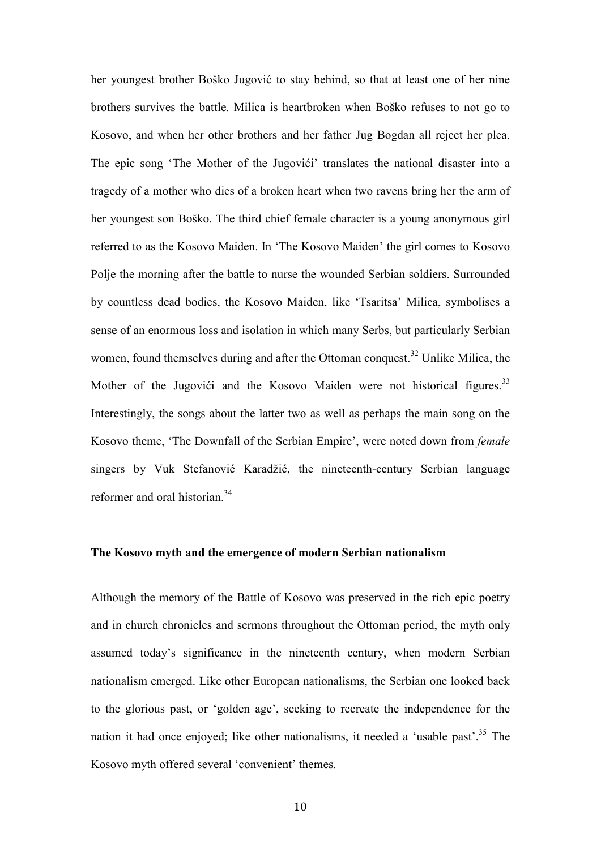her youngest brother Boško Jugović to stay behind, so that at least one of her nine brothers survives the battle. Milica is heartbroken when Boško refuses to not go to Kosovo, and when her other brothers and her father Jug Bogdan all reject her plea. The epic song 'The Mother of the Jugovići' translates the national disaster into a tragedy of a mother who dies of a broken heart when two ravens bring her the arm of her youngest son Boško. The third chief female character is a young anonymous girl referred to as the Kosovo Maiden. In 'The Kosovo Maiden' the girl comes to Kosovo Polje the morning after the battle to nurse the wounded Serbian soldiers. Surrounded by countless dead bodies, the Kosovo Maiden, like 'Tsaritsa' Milica, symbolises a sense of an enormous loss and isolation in which many Serbs, but particularly Serbian women, found themselves during and after the Ottoman conquest.<sup>32</sup> Unlike Milica, the Mother of the Jugovići and the Kosovo Maiden were not historical figures.<sup>33</sup> Interestingly, the songs about the latter two as well as perhaps the main song on the Kosovo theme, 'The Downfall of the Serbian Empire', were noted down from *female* singers by Vuk Stefanović Karadžić, the nineteenth-century Serbian language reformer and oral historian.<sup>34</sup>

# **The Kosovo myth and the emergence of modern Serbian nationalism**

Although the memory of the Battle of Kosovo was preserved in the rich epic poetry and in church chronicles and sermons throughout the Ottoman period, the myth only assumed today's significance in the nineteenth century, when modern Serbian nationalism emerged. Like other European nationalisms, the Serbian one looked back to the glorious past, or 'golden age', seeking to recreate the independence for the nation it had once enjoyed; like other nationalisms, it needed a 'usable past'.<sup>35</sup> The Kosovo myth offered several 'convenient' themes.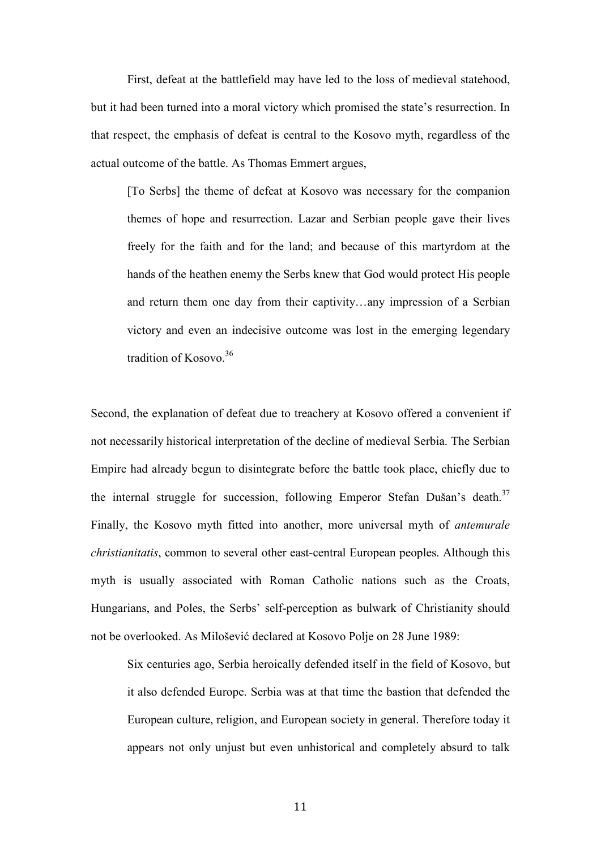First, defeat at the battlefield may have led to the loss of medieval statehood, but it had been turned into a moral victory which promised the state's resurrection. In that respect, the emphasis of defeat is central to the Kosovo myth, regardless of the actual outcome of the battle. As Thomas Emmert argues,

[To Serbs] the theme of defeat at Kosovo was necessary for the companion themes of hope and resurrection. Lazar and Serbian people gave their lives freely for the faith and for the land; and because of this martyrdom at the hands of the heathen enemy the Serbs knew that God would protect His people and return them one day from their captivity…any impression of a Serbian victory and even an indecisive outcome was lost in the emerging legendary tradition of Kosovo.<sup>36</sup>

Second, the explanation of defeat due to treachery at Kosovo offered a convenient if not necessarily historical interpretation of the decline of medieval Serbia. The Serbian Empire had already begun to disintegrate before the battle took place, chiefly due to the internal struggle for succession, following Emperor Stefan Dušan's death.<sup>37</sup> Finally, the Kosovo myth fitted into another, more universal myth of *antemurale christianitatis*, common to several other east-central European peoples. Although this myth is usually associated with Roman Catholic nations such as the Croats, Hungarians, and Poles, the Serbs' self-perception as bulwark of Christianity should not be overlooked. As Milošević declared at Kosovo Polje on 28 June 1989:

Six centuries ago, Serbia heroically defended itself in the field of Kosovo, but it also defended Europe. Serbia was at that time the bastion that defended the European culture, religion, and European society in general. Therefore today it appears not only unjust but even unhistorical and completely absurd to talk

11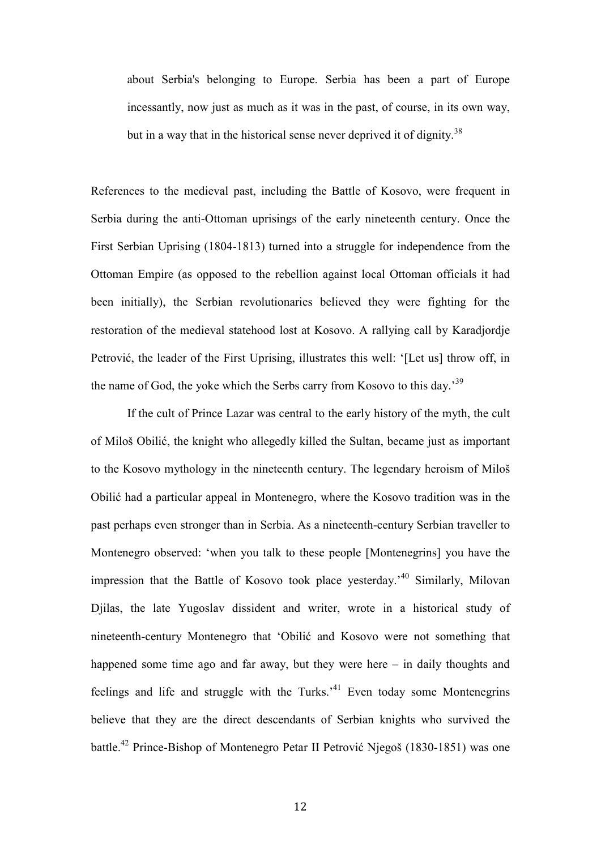about Serbia's belonging to Europe. Serbia has been a part of Europe incessantly, now just as much as it was in the past, of course, in its own way, but in a way that in the historical sense never deprived it of dignity.<sup>38</sup>

References to the medieval past, including the Battle of Kosovo, were frequent in Serbia during the anti-Ottoman uprisings of the early nineteenth century. Once the First Serbian Uprising (1804-1813) turned into a struggle for independence from the Ottoman Empire (as opposed to the rebellion against local Ottoman officials it had been initially), the Serbian revolutionaries believed they were fighting for the restoration of the medieval statehood lost at Kosovo. A rallying call by Karadjordje Petrović, the leader of the First Uprising, illustrates this well: '[Let us] throw off, in the name of God, the yoke which the Serbs carry from Kosovo to this day.<sup>39</sup>

If the cult of Prince Lazar was central to the early history of the myth, the cult of Miloš Obilić, the knight who allegedly killed the Sultan, became just as important to the Kosovo mythology in the nineteenth century. The legendary heroism of Miloš Obilić had a particular appeal in Montenegro, where the Kosovo tradition was in the past perhaps even stronger than in Serbia. As a nineteenth-century Serbian traveller to Montenegro observed: 'when you talk to these people [Montenegrins] you have the impression that the Battle of Kosovo took place yesterday.'<sup>40</sup> Similarly, Milovan Djilas, the late Yugoslav dissident and writer, wrote in a historical study of nineteenth-century Montenegro that 'Obilić and Kosovo were not something that happened some time ago and far away, but they were here – in daily thoughts and feelings and life and struggle with the Turks.<sup>41</sup> Even today some Montenegrins believe that they are the direct descendants of Serbian knights who survived the battle.<sup>42</sup> Prince-Bishop of Montenegro Petar II Petrović Njegoš (1830-1851) was one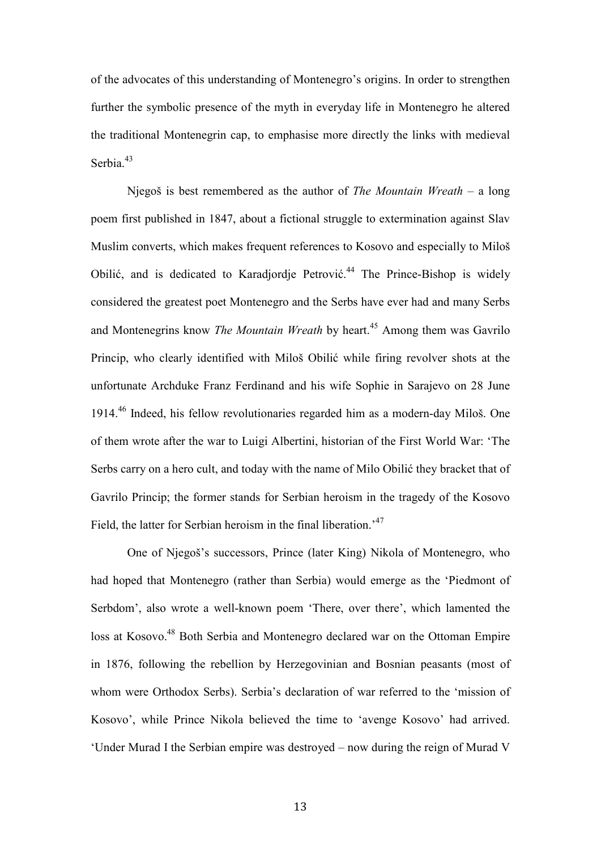of the advocates of this understanding of Montenegro's origins. In order to strengthen further the symbolic presence of the myth in everyday life in Montenegro he altered the traditional Montenegrin cap, to emphasise more directly the links with medieval Serbia.<sup>43</sup>

Njegoš is best remembered as the author of *The Mountain Wreath* – a long poem first published in 1847, about a fictional struggle to extermination against Slav Muslim converts, which makes frequent references to Kosovo and especially to Miloš Obilić, and is dedicated to Karadjordje Petrović.<sup>44</sup> The Prince-Bishop is widely considered the greatest poet Montenegro and the Serbs have ever had and many Serbs and Montenegrins know *The Mountain Wreath* by heart.<sup>45</sup> Among them was Gavrilo Princip, who clearly identified with Miloš Obilić while firing revolver shots at the unfortunate Archduke Franz Ferdinand and his wife Sophie in Sarajevo on 28 June 1914.<sup>46</sup> Indeed, his fellow revolutionaries regarded him as a modern-day Miloš. One of them wrote after the war to Luigi Albertini, historian of the First World War: 'The Serbs carry on a hero cult, and today with the name of Milo Obilić they bracket that of Gavrilo Princip; the former stands for Serbian heroism in the tragedy of the Kosovo Field, the latter for Serbian heroism in the final liberation.<sup>47</sup>

One of Njegoš's successors, Prince (later King) Nikola of Montenegro, who had hoped that Montenegro (rather than Serbia) would emerge as the 'Piedmont of Serbdom', also wrote a well-known poem 'There, over there', which lamented the loss at Kosovo.<sup>48</sup> Both Serbia and Montenegro declared war on the Ottoman Empire in 1876, following the rebellion by Herzegovinian and Bosnian peasants (most of whom were Orthodox Serbs). Serbia's declaration of war referred to the 'mission of Kosovo', while Prince Nikola believed the time to 'avenge Kosovo' had arrived. 'Under Murad I the Serbian empire was destroyed – now during the reign of Murad V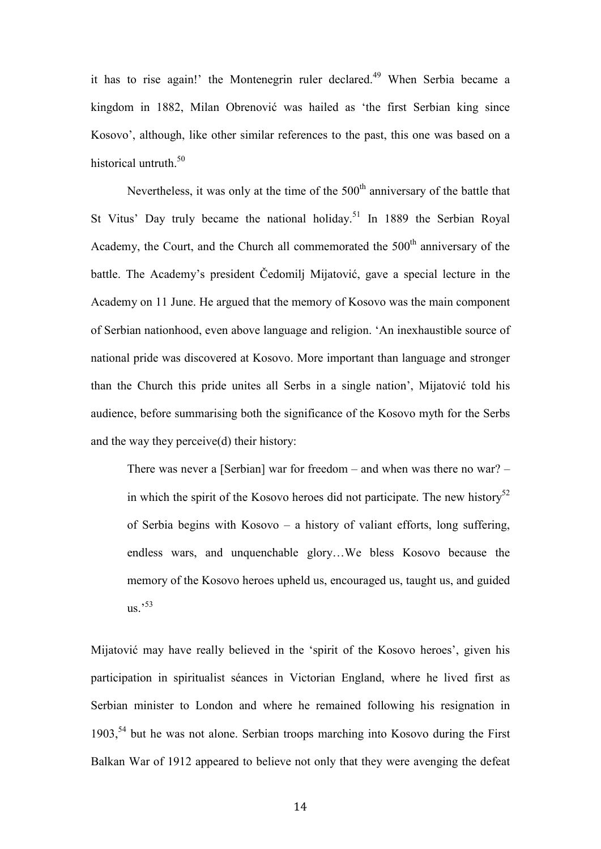it has to rise again!' the Montenegrin ruler declared.<sup>49</sup> When Serbia became a kingdom in 1882, Milan Obrenović was hailed as 'the first Serbian king since Kosovo', although, like other similar references to the past, this one was based on a historical untruth.<sup>50</sup>

Nevertheless, it was only at the time of the  $500<sup>th</sup>$  anniversary of the battle that St Vitus' Day truly became the national holiday.<sup>51</sup> In 1889 the Serbian Royal Academy, the Court, and the Church all commemorated the  $500<sup>th</sup>$  anniversary of the battle. The Academy's president Čedomilj Mijatović, gave a special lecture in the Academy on 11 June. He argued that the memory of Kosovo was the main component of Serbian nationhood, even above language and religion. 'An inexhaustible source of national pride was discovered at Kosovo. More important than language and stronger than the Church this pride unites all Serbs in a single nation', Mijatović told his audience, before summarising both the significance of the Kosovo myth for the Serbs and the way they perceive(d) their history:

There was never a [Serbian] war for freedom – and when was there no war? – in which the spirit of the Kosovo heroes did not participate. The new history<sup>52</sup> of Serbia begins with Kosovo – a history of valiant efforts, long suffering, endless wars, and unquenchable glory…We bless Kosovo because the memory of the Kosovo heroes upheld us, encouraged us, taught us, and guided  $\mathrm{us.}'^{53}$ 

Mijatović may have really believed in the 'spirit of the Kosovo heroes', given his participation in spiritualist séances in Victorian England, where he lived first as Serbian minister to London and where he remained following his resignation in 1903,<sup>54</sup> but he was not alone. Serbian troops marching into Kosovo during the First Balkan War of 1912 appeared to believe not only that they were avenging the defeat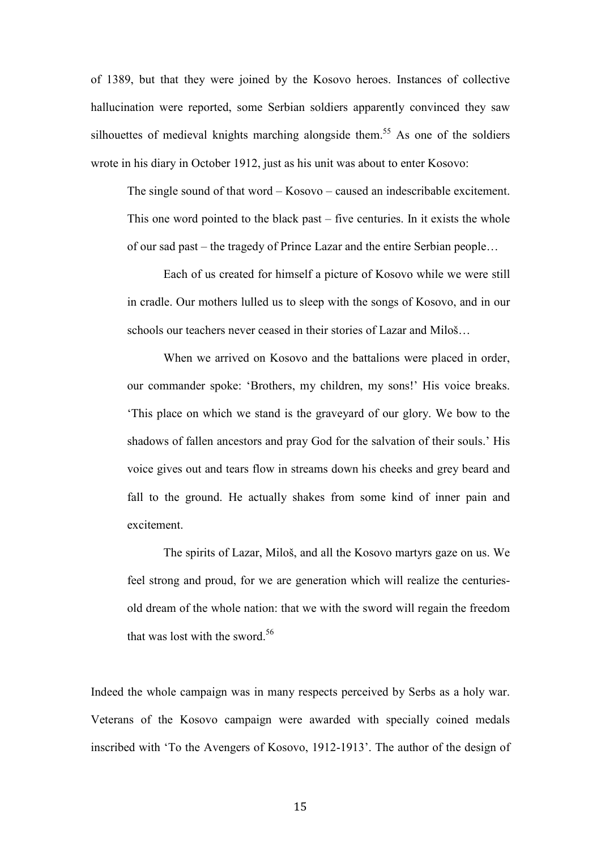of 1389, but that they were joined by the Kosovo heroes. Instances of collective hallucination were reported, some Serbian soldiers apparently convinced they saw silhouettes of medieval knights marching alongside them.<sup>55</sup> As one of the soldiers wrote in his diary in October 1912, just as his unit was about to enter Kosovo:

The single sound of that word – Kosovo – caused an indescribable excitement. This one word pointed to the black past – five centuries. In it exists the whole of our sad past – the tragedy of Prince Lazar and the entire Serbian people…

 Each of us created for himself a picture of Kosovo while we were still in cradle. Our mothers lulled us to sleep with the songs of Kosovo, and in our schools our teachers never ceased in their stories of Lazar and Miloš…

 When we arrived on Kosovo and the battalions were placed in order, our commander spoke: 'Brothers, my children, my sons!' His voice breaks. 'This place on which we stand is the graveyard of our glory. We bow to the shadows of fallen ancestors and pray God for the salvation of their souls.' His voice gives out and tears flow in streams down his cheeks and grey beard and fall to the ground. He actually shakes from some kind of inner pain and excitement.

The spirits of Lazar, Miloš, and all the Kosovo martyrs gaze on us. We feel strong and proud, for we are generation which will realize the centuriesold dream of the whole nation: that we with the sword will regain the freedom that was lost with the sword.<sup>56</sup>

Indeed the whole campaign was in many respects perceived by Serbs as a holy war. Veterans of the Kosovo campaign were awarded with specially coined medals inscribed with 'To the Avengers of Kosovo, 1912-1913'. The author of the design of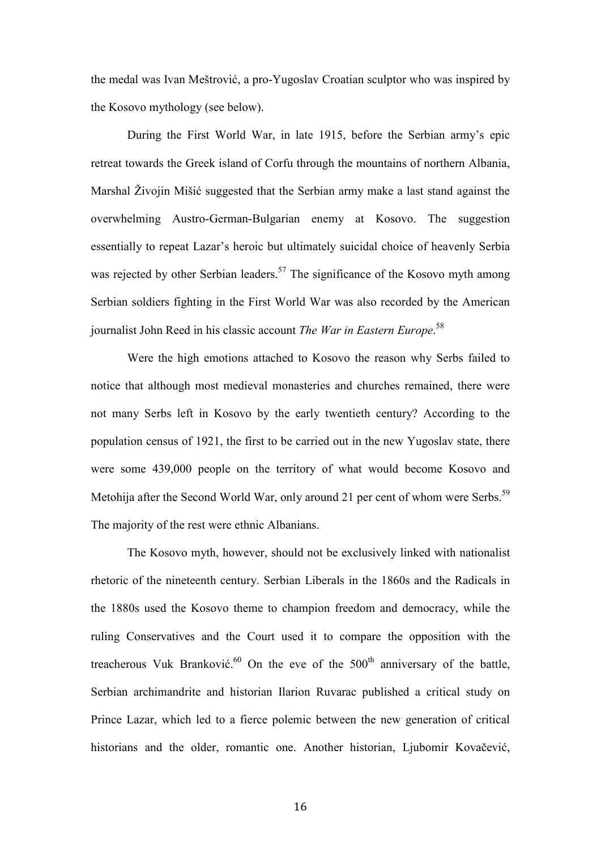the medal was Ivan Meštrović, a pro-Yugoslav Croatian sculptor who was inspired by the Kosovo mythology (see below).

During the First World War, in late 1915, before the Serbian army's epic retreat towards the Greek island of Corfu through the mountains of northern Albania, Marshal Živojin Mišić suggested that the Serbian army make a last stand against the overwhelming Austro-German-Bulgarian enemy at Kosovo. The suggestion essentially to repeat Lazar's heroic but ultimately suicidal choice of heavenly Serbia was rejected by other Serbian leaders.<sup>57</sup> The significance of the Kosovo myth among Serbian soldiers fighting in the First World War was also recorded by the American journalist John Reed in his classic account *The War in Eastern Europe*. 58

Were the high emotions attached to Kosovo the reason why Serbs failed to notice that although most medieval monasteries and churches remained, there were not many Serbs left in Kosovo by the early twentieth century? According to the population census of 1921, the first to be carried out in the new Yugoslav state, there were some 439,000 people on the territory of what would become Kosovo and Metohija after the Second World War, only around 21 per cent of whom were Serbs.<sup>59</sup> The majority of the rest were ethnic Albanians.

The Kosovo myth, however, should not be exclusively linked with nationalist rhetoric of the nineteenth century. Serbian Liberals in the 1860s and the Radicals in the 1880s used the Kosovo theme to champion freedom and democracy, while the ruling Conservatives and the Court used it to compare the opposition with the treacherous Vuk Branković.<sup>60</sup> On the eve of the 500<sup>th</sup> anniversary of the battle, Serbian archimandrite and historian Ilarion Ruvarac published a critical study on Prince Lazar, which led to a fierce polemic between the new generation of critical historians and the older, romantic one. Another historian, Ljubomir Kovačević,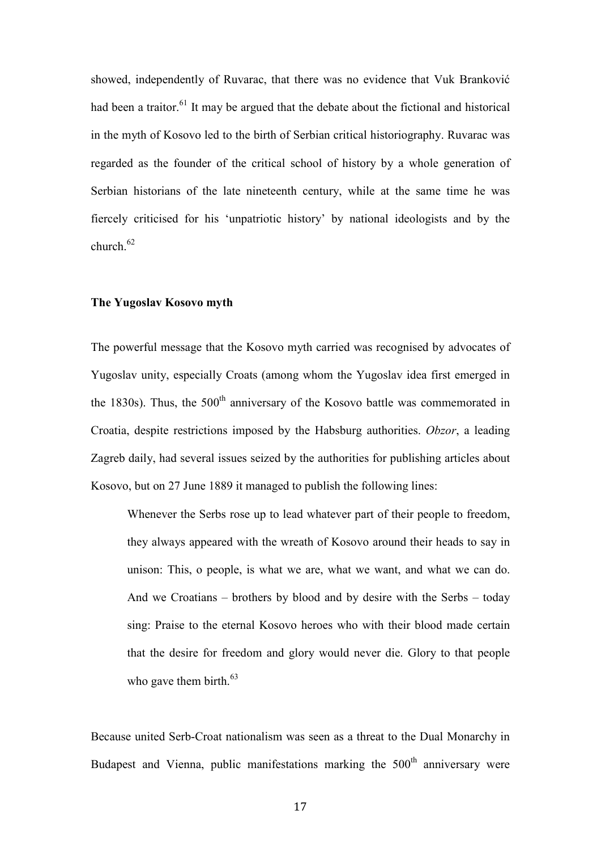showed, independently of Ruvarac, that there was no evidence that Vuk Branković had been a traitor.<sup>61</sup> It may be argued that the debate about the fictional and historical in the myth of Kosovo led to the birth of Serbian critical historiography. Ruvarac was regarded as the founder of the critical school of history by a whole generation of Serbian historians of the late nineteenth century, while at the same time he was fiercely criticised for his 'unpatriotic history' by national ideologists and by the church  $62$ 

#### **The Yugoslav Kosovo myth**

The powerful message that the Kosovo myth carried was recognised by advocates of Yugoslav unity, especially Croats (among whom the Yugoslav idea first emerged in the 1830s). Thus, the  $500<sup>th</sup>$  anniversary of the Kosovo battle was commemorated in Croatia, despite restrictions imposed by the Habsburg authorities. *Obzor*, a leading Zagreb daily, had several issues seized by the authorities for publishing articles about Kosovo, but on 27 June 1889 it managed to publish the following lines:

Whenever the Serbs rose up to lead whatever part of their people to freedom, they always appeared with the wreath of Kosovo around their heads to say in unison: This, o people, is what we are, what we want, and what we can do. And we Croatians – brothers by blood and by desire with the Serbs – today sing: Praise to the eternal Kosovo heroes who with their blood made certain that the desire for freedom and glory would never die. Glory to that people who gave them birth. $63$ 

Because united Serb-Croat nationalism was seen as a threat to the Dual Monarchy in Budapest and Vienna, public manifestations marking the  $500<sup>th</sup>$  anniversary were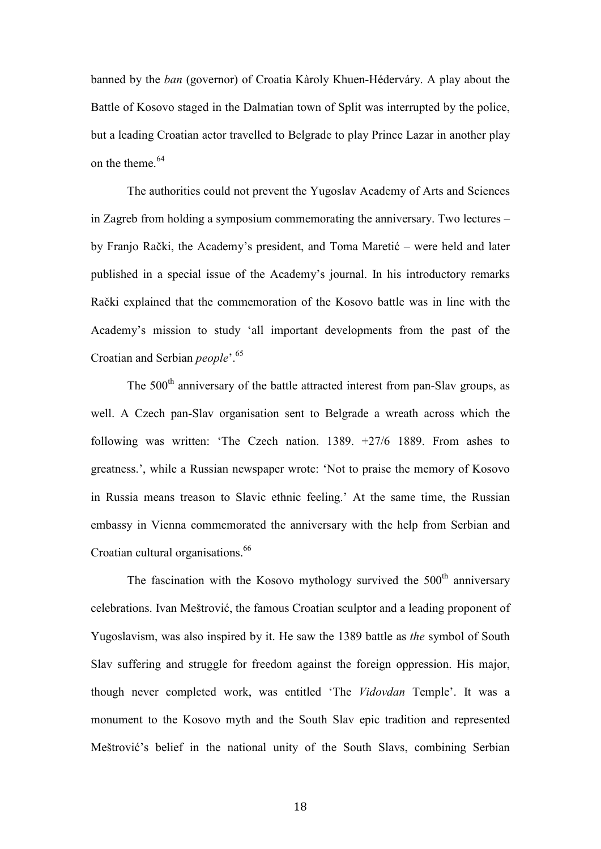banned by the *ban* (governor) of Croatia Kàroly Khuen-Héderváry. A play about the Battle of Kosovo staged in the Dalmatian town of Split was interrupted by the police, but a leading Croatian actor travelled to Belgrade to play Prince Lazar in another play on the theme.  $64$ 

The authorities could not prevent the Yugoslav Academy of Arts and Sciences in Zagreb from holding a symposium commemorating the anniversary. Two lectures – by Franjo Rački, the Academy's president, and Toma Maretić – were held and later published in a special issue of the Academy's journal. In his introductory remarks Rački explained that the commemoration of the Kosovo battle was in line with the Academy's mission to study 'all important developments from the past of the Croatian and Serbian *people*'.<sup>65</sup>

The 500<sup>th</sup> anniversary of the battle attracted interest from pan-Slav groups, as well. A Czech pan-Slav organisation sent to Belgrade a wreath across which the following was written: 'The Czech nation. 1389. +27/6 1889. From ashes to greatness.', while a Russian newspaper wrote: 'Not to praise the memory of Kosovo in Russia means treason to Slavic ethnic feeling.' At the same time, the Russian embassy in Vienna commemorated the anniversary with the help from Serbian and Croatian cultural organisations.<sup>66</sup>

The fascination with the Kosovo mythology survived the  $500<sup>th</sup>$  anniversary celebrations. Ivan Meštrović, the famous Croatian sculptor and a leading proponent of Yugoslavism, was also inspired by it. He saw the 1389 battle as *the* symbol of South Slav suffering and struggle for freedom against the foreign oppression. His major, though never completed work, was entitled 'The *Vidovdan* Temple'. It was a monument to the Kosovo myth and the South Slav epic tradition and represented Meštrović's belief in the national unity of the South Slavs, combining Serbian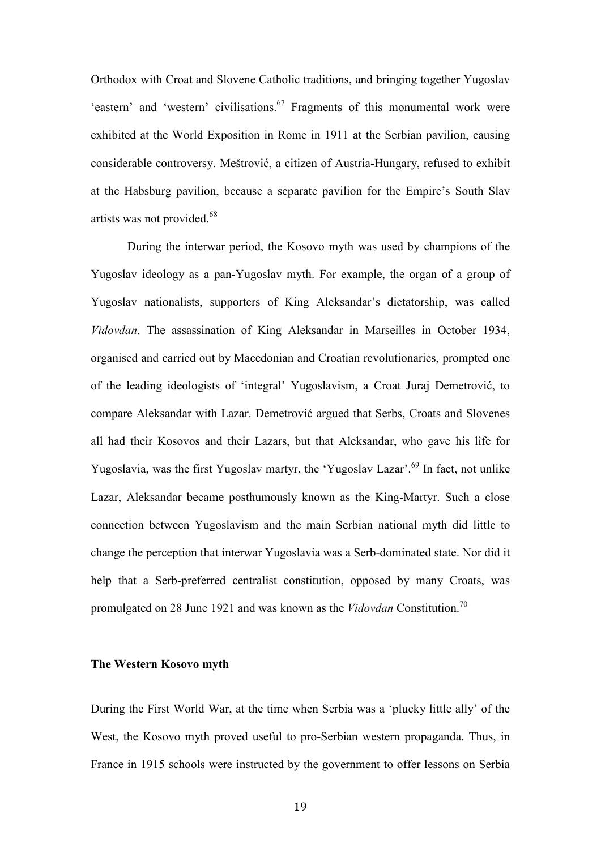Orthodox with Croat and Slovene Catholic traditions, and bringing together Yugoslav 'eastern' and 'western' civilisations.<sup>67</sup> Fragments of this monumental work were exhibited at the World Exposition in Rome in 1911 at the Serbian pavilion, causing considerable controversy. Meštrović, a citizen of Austria-Hungary, refused to exhibit at the Habsburg pavilion, because a separate pavilion for the Empire's South Slav artists was not provided.<sup>68</sup>

During the interwar period, the Kosovo myth was used by champions of the Yugoslav ideology as a pan-Yugoslav myth. For example, the organ of a group of Yugoslav nationalists, supporters of King Aleksandar's dictatorship, was called *Vidovdan*. The assassination of King Aleksandar in Marseilles in October 1934, organised and carried out by Macedonian and Croatian revolutionaries, prompted one of the leading ideologists of 'integral' Yugoslavism, a Croat Juraj Demetrović, to compare Aleksandar with Lazar. Demetrović argued that Serbs, Croats and Slovenes all had their Kosovos and their Lazars, but that Aleksandar, who gave his life for Yugoslavia, was the first Yugoslav martyr, the 'Yugoslav Lazar'.<sup>69</sup> In fact, not unlike Lazar, Aleksandar became posthumously known as the King-Martyr. Such a close connection between Yugoslavism and the main Serbian national myth did little to change the perception that interwar Yugoslavia was a Serb-dominated state. Nor did it help that a Serb-preferred centralist constitution, opposed by many Croats, was promulgated on 28 June 1921 and was known as the *Vidovdan* Constitution.<sup>70</sup>

## **The Western Kosovo myth**

During the First World War, at the time when Serbia was a 'plucky little ally' of the West, the Kosovo myth proved useful to pro-Serbian western propaganda. Thus, in France in 1915 schools were instructed by the government to offer lessons on Serbia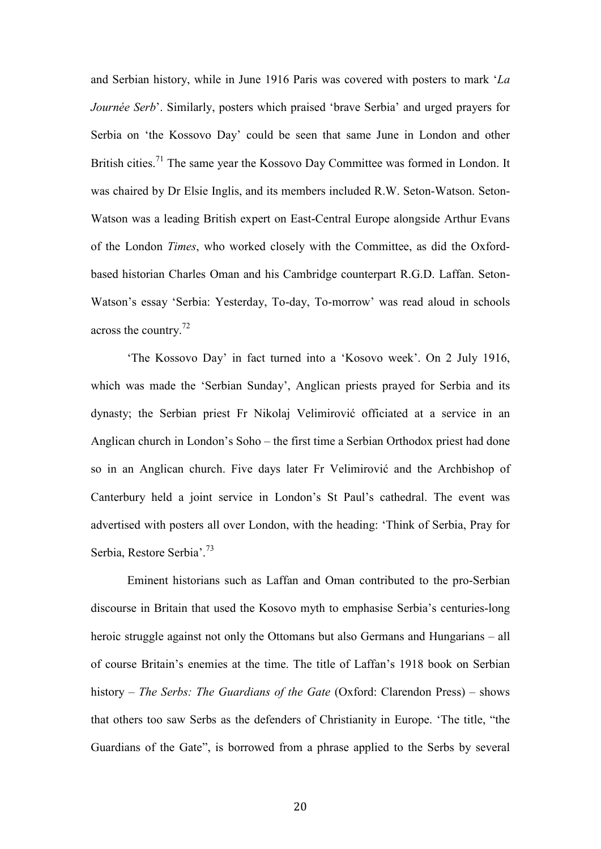and Serbian history, while in June 1916 Paris was covered with posters to mark '*La Journée Serb*'. Similarly, posters which praised 'brave Serbia' and urged prayers for Serbia on 'the Kossovo Day' could be seen that same June in London and other British cities.<sup>71</sup> The same year the Kossovo Day Committee was formed in London. It was chaired by Dr Elsie Inglis, and its members included R.W. Seton-Watson. Seton-Watson was a leading British expert on East-Central Europe alongside Arthur Evans of the London *Times*, who worked closely with the Committee, as did the Oxfordbased historian Charles Oman and his Cambridge counterpart R.G.D. Laffan. Seton-Watson's essay 'Serbia: Yesterday, To-day, To-morrow' was read aloud in schools across the country.<sup>72</sup>

'The Kossovo Day' in fact turned into a 'Kosovo week'. On 2 July 1916, which was made the 'Serbian Sunday', Anglican priests prayed for Serbia and its dynasty; the Serbian priest Fr Nikolaj Velimirović officiated at a service in an Anglican church in London's Soho – the first time a Serbian Orthodox priest had done so in an Anglican church. Five days later Fr Velimirović and the Archbishop of Canterbury held a joint service in London's St Paul's cathedral. The event was advertised with posters all over London, with the heading: 'Think of Serbia, Pray for Serbia, Restore Serbia'.<sup>73</sup>

Eminent historians such as Laffan and Oman contributed to the pro-Serbian discourse in Britain that used the Kosovo myth to emphasise Serbia's centuries-long heroic struggle against not only the Ottomans but also Germans and Hungarians – all of course Britain's enemies at the time. The title of Laffan's 1918 book on Serbian history – *The Serbs: The Guardians of the Gate* (Oxford: Clarendon Press) – shows that others too saw Serbs as the defenders of Christianity in Europe. 'The title, "the Guardians of the Gate", is borrowed from a phrase applied to the Serbs by several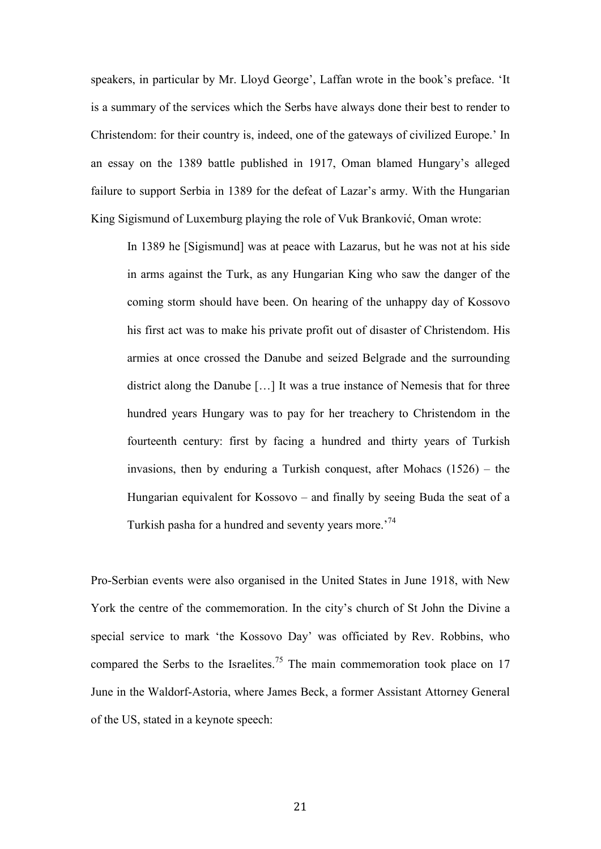speakers, in particular by Mr. Lloyd George', Laffan wrote in the book's preface. 'It is a summary of the services which the Serbs have always done their best to render to Christendom: for their country is, indeed, one of the gateways of civilized Europe.' In an essay on the 1389 battle published in 1917, Oman blamed Hungary's alleged failure to support Serbia in 1389 for the defeat of Lazar's army. With the Hungarian King Sigismund of Luxemburg playing the role of Vuk Branković, Oman wrote:

In 1389 he [Sigismund] was at peace with Lazarus, but he was not at his side in arms against the Turk, as any Hungarian King who saw the danger of the coming storm should have been. On hearing of the unhappy day of Kossovo his first act was to make his private profit out of disaster of Christendom. His armies at once crossed the Danube and seized Belgrade and the surrounding district along the Danube […] It was a true instance of Nemesis that for three hundred years Hungary was to pay for her treachery to Christendom in the fourteenth century: first by facing a hundred and thirty years of Turkish invasions, then by enduring a Turkish conquest, after Mohacs (1526) – the Hungarian equivalent for Kossovo – and finally by seeing Buda the seat of a Turkish pasha for a hundred and seventy years more.<sup>74</sup>

Pro-Serbian events were also organised in the United States in June 1918, with New York the centre of the commemoration. In the city's church of St John the Divine a special service to mark 'the Kossovo Day' was officiated by Rev. Robbins, who compared the Serbs to the Israelites.<sup>75</sup> The main commemoration took place on 17 June in the Waldorf-Astoria, where James Beck, a former Assistant Attorney General of the US, stated in a keynote speech: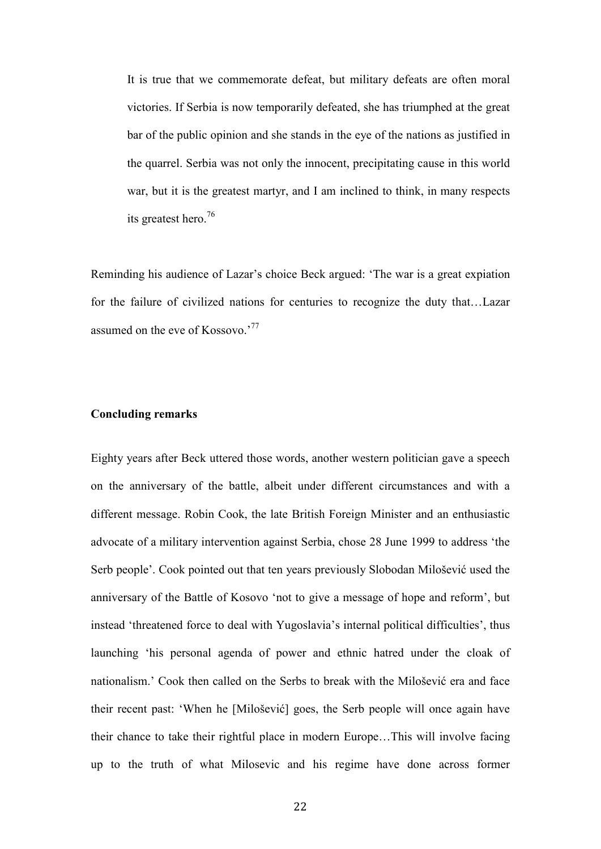It is true that we commemorate defeat, but military defeats are often moral victories. If Serbia is now temporarily defeated, she has triumphed at the great bar of the public opinion and she stands in the eye of the nations as justified in the quarrel. Serbia was not only the innocent, precipitating cause in this world war, but it is the greatest martyr, and I am inclined to think, in many respects its greatest hero.<sup>76</sup>

Reminding his audience of Lazar's choice Beck argued: 'The war is a great expiation for the failure of civilized nations for centuries to recognize the duty that…Lazar assumed on the eve of Kossovo.'<sup>77</sup>

# **Concluding remarks**

Eighty years after Beck uttered those words, another western politician gave a speech on the anniversary of the battle, albeit under different circumstances and with a different message. Robin Cook, the late British Foreign Minister and an enthusiastic advocate of a military intervention against Serbia, chose 28 June 1999 to address 'the Serb people'. Cook pointed out that ten years previously Slobodan Milošević used the anniversary of the Battle of Kosovo 'not to give a message of hope and reform', but instead 'threatened force to deal with Yugoslavia's internal political difficulties', thus launching 'his personal agenda of power and ethnic hatred under the cloak of nationalism.' Cook then called on the Serbs to break with the Milošević era and face their recent past: 'When he [Milošević] goes, the Serb people will once again have their chance to take their rightful place in modern Europe…This will involve facing up to the truth of what Milosevic and his regime have done across former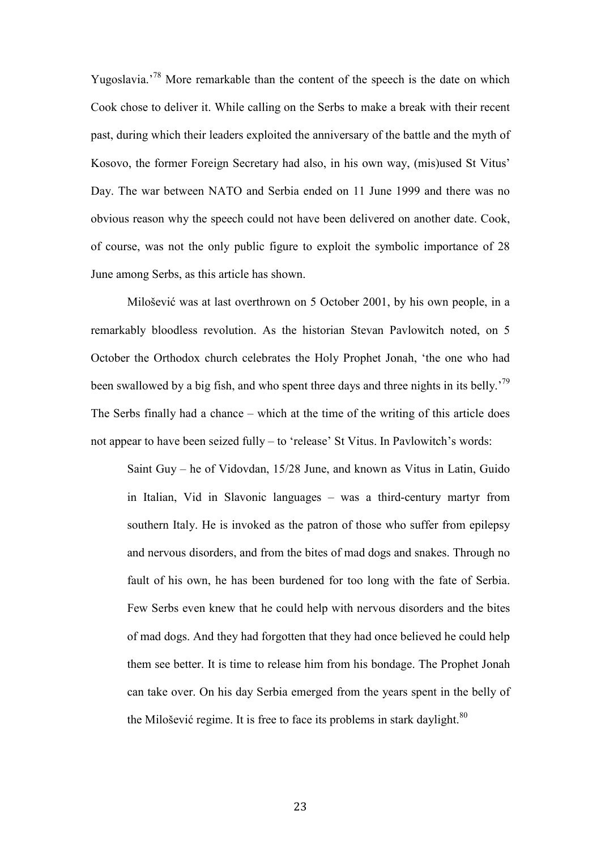Yugoslavia.'<sup>78</sup> More remarkable than the content of the speech is the date on which Cook chose to deliver it. While calling on the Serbs to make a break with their recent past, during which their leaders exploited the anniversary of the battle and the myth of Kosovo, the former Foreign Secretary had also, in his own way, (mis)used St Vitus' Day. The war between NATO and Serbia ended on 11 June 1999 and there was no obvious reason why the speech could not have been delivered on another date. Cook, of course, was not the only public figure to exploit the symbolic importance of 28 June among Serbs, as this article has shown.

Milošević was at last overthrown on 5 October 2001, by his own people, in a remarkably bloodless revolution. As the historian Stevan Pavlowitch noted, on 5 October the Orthodox church celebrates the Holy Prophet Jonah, 'the one who had been swallowed by a big fish, and who spent three days and three nights in its belly.<sup>79</sup> The Serbs finally had a chance – which at the time of the writing of this article does not appear to have been seized fully – to 'release' St Vitus. In Pavlowitch's words:

Saint Guy – he of Vidovdan, 15/28 June, and known as Vitus in Latin, Guido in Italian, Vid in Slavonic languages – was a third-century martyr from southern Italy. He is invoked as the patron of those who suffer from epilepsy and nervous disorders, and from the bites of mad dogs and snakes. Through no fault of his own, he has been burdened for too long with the fate of Serbia. Few Serbs even knew that he could help with nervous disorders and the bites of mad dogs. And they had forgotten that they had once believed he could help them see better. It is time to release him from his bondage. The Prophet Jonah can take over. On his day Serbia emerged from the years spent in the belly of the Milošević regime. It is free to face its problems in stark daylight.<sup>80</sup>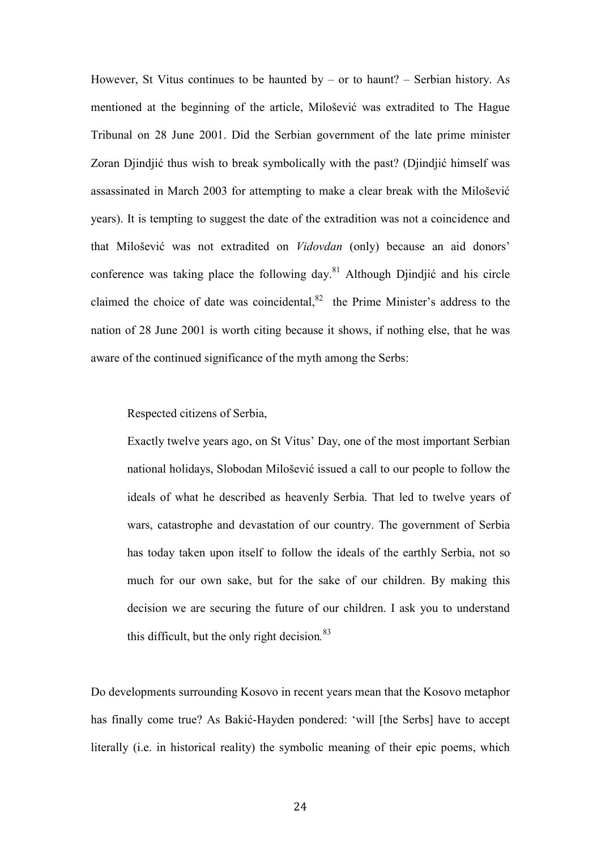However, St Vitus continues to be haunted by  $-$  or to haunt?  $-$  Serbian history. As mentioned at the beginning of the article, Milošević was extradited to The Hague Tribunal on 28 June 2001. Did the Serbian government of the late prime minister Zoran Djindjić thus wish to break symbolically with the past? (Djindjić himself was assassinated in March 2003 for attempting to make a clear break with the Milošević years). It is tempting to suggest the date of the extradition was not a coincidence and that Milošević was not extradited on *Vidovdan* (only) because an aid donors' conference was taking place the following day.<sup>81</sup> Although Djindjić and his circle claimed the choice of date was coincidental, $82$  the Prime Minister's address to the nation of 28 June 2001 is worth citing because it shows, if nothing else, that he was aware of the continued significance of the myth among the Serbs:

Respected citizens of Serbia,

Exactly twelve years ago, on St Vitus' Day, one of the most important Serbian national holidays, Slobodan Milošević issued a call to our people to follow the ideals of what he described as heavenly Serbia. That led to twelve years of wars, catastrophe and devastation of our country. The government of Serbia has today taken upon itself to follow the ideals of the earthly Serbia, not so much for our own sake, but for the sake of our children. By making this decision we are securing the future of our children. I ask you to understand this difficult, but the only right decision*.* 83

Do developments surrounding Kosovo in recent years mean that the Kosovo metaphor has finally come true? As Bakić-Hayden pondered: 'will [the Serbs] have to accept literally (i.e. in historical reality) the symbolic meaning of their epic poems, which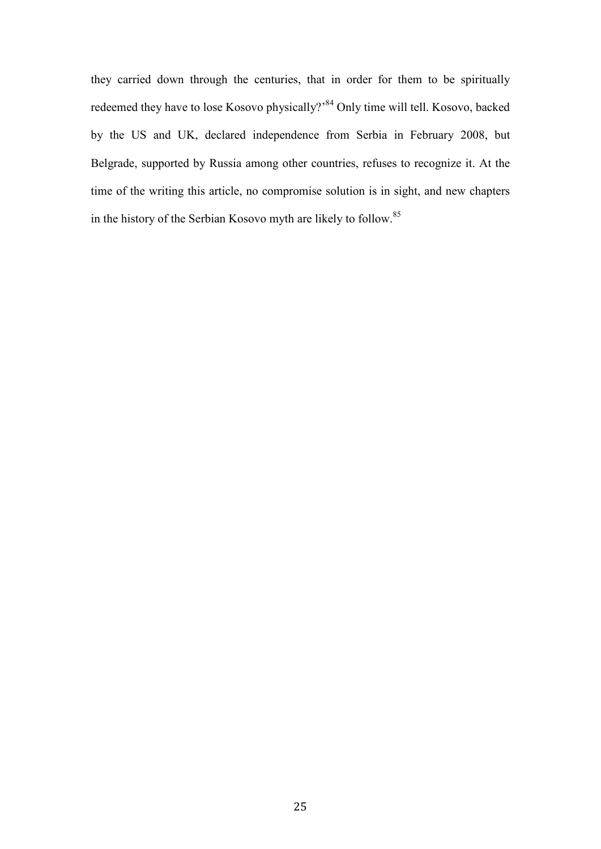they carried down through the centuries, that in order for them to be spiritually redeemed they have to lose Kosovo physically?'<sup>84</sup> Only time will tell. Kosovo, backed by the US and UK, declared independence from Serbia in February 2008, but Belgrade, supported by Russia among other countries, refuses to recognize it. At the time of the writing this article, no compromise solution is in sight, and new chapters in the history of the Serbian Kosovo myth are likely to follow.<sup>85</sup>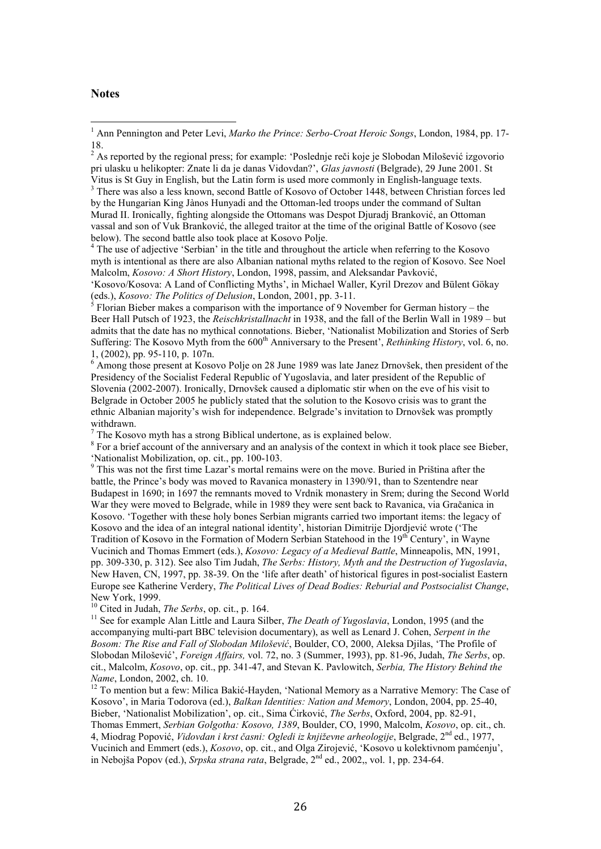#### Notes

 $\overline{a}$ 

<sup>3</sup> There was also a less known, second Battle of Kosovo of October 1448, between Christian forces led by the Hungarian King Jànos Hunyadi and the Ottoman-led troops under the command of Sultan Murad II. Ironically, fighting alongside the Ottomans was Despot Djuradj Branković, an Ottoman vassal and son of Vuk Branković, the alleged traitor at the time of the original Battle of Kosovo (see below). The second battle also took place at Kosovo Polje.

<sup>4</sup> The use of adjective 'Serbian' in the title and throughout the article when referring to the Kosovo myth is intentional as there are also Albanian national myths related to the region of Kosovo. See Noel Malcolm, *Kosovo: A Short History*, London, 1998, passim, and Aleksandar Pavković,

'Kosovo/Kosova: A Land of Conflicting Myths', in Michael Waller, Kyril Drezov and Bülent Gökay (eds.), *Kosovo: The Politics of Delusion*, London, 2001, pp. 3-11.

5 Florian Bieber makes a comparison with the importance of 9 November for German history – the Beer Hall Putsch of 1923, the *Reischkristallnacht* in 1938, and the fall of the Berlin Wall in 1989 – but admits that the date has no mythical connotations. Bieber, 'Nationalist Mobilization and Stories of Serb Suffering: The Kosovo Myth from the 600<sup>th</sup> Anniversary to the Present', *Rethinking History*, vol. 6, no. 1, (2002), pp. 95-110, p. 107n.

<sup>6</sup> Among those present at Kosovo Polje on 28 June 1989 was late Janez Drnovšek, then president of the Presidency of the Socialist Federal Republic of Yugoslavia, and later president of the Republic of Slovenia (2002-2007). Ironically, Drnovšek caused a diplomatic stir when on the eve of his visit to Belgrade in October 2005 he publicly stated that the solution to the Kosovo crisis was to grant the ethnic Albanian majority's wish for independence. Belgrade's invitation to Drnovšek was promptly withdrawn.

 $7$  The Kosovo myth has a strong Biblical undertone, as is explained below.

<sup>8</sup> For a brief account of the anniversary and an analysis of the context in which it took place see Bieber, 'Nationalist Mobilization, op. cit., pp. 100-103.

<sup>9</sup> This was not the first time Lazar's mortal remains were on the move. Buried in Priština after the battle, the Prince's body was moved to Ravanica monastery in 1390/91, than to Szentendre near Budapest in 1690; in 1697 the remnants moved to Vrdnik monastery in Srem; during the Second World War they were moved to Belgrade, while in 1989 they were sent back to Ravanica, via Gračanica in Kosovo. 'Together with these holy bones Serbian migrants carried two important items: the legacy of Kosovo and the idea of an integral national identity', historian Dimitrije Djordjević wrote ('The Tradition of Kosovo in the Formation of Modern Serbian Statehood in the 19<sup>th</sup> Century', in Wayne Vucinich and Thomas Emmert (eds.), *Kosovo: Legacy of a Medieval Battle*, Minneapolis, MN, 1991, pp. 309-330, p. 312). See also Tim Judah, *The Serbs: History, Myth and the Destruction of Yugoslavia*, New Haven, CN, 1997, pp. 38-39. On the 'life after death' of historical figures in post-socialist Eastern Europe see Katherine Verdery, *The Political Lives of Dead Bodies: Reburial and Postsocialist Change*, New York, 1999.

<sup>10</sup> Cited in Judah, *The Serbs*, op. cit., p. 164.

<sup>11</sup> See for example Alan Little and Laura Silber, *The Death of Yugoslavia*, London, 1995 (and the accompanying multi-part BBC television documentary), as well as Lenard J. Cohen, *Serpent in the Bosom: The Rise and Fall of Slobodan Milošević*, Boulder, CO, 2000, Aleksa Djilas, 'The Profile of Slobodan Milošević', *Foreign Affairs,* vol. 72, no. 3 (Summer, 1993), pp. 81-96, Judah, *The Serbs*, op. cit., Malcolm, *Kosovo*, op. cit., pp. 341-47, and Stevan K. Pavlowitch, *Serbia, The History Behind the 4ame*, London, 2002, ch. 10.

<sup>12</sup> To mention but a few: Milica Bakić-Hayden, 'National Memory as a Narrative Memory: The Case of Kosovo', in Maria Todorova (ed.), *Balkan Identities: 4ation and Memory*, London, 2004, pp. 25-40, Bieber, 'Nationalist Mobilization', op. cit., Sima Ćirković, *The Serbs*, Oxford, 2004, pp. 82-91,

Thomas Emmert, *Serbian Golgotha: Kosovo, 1389*, Boulder, CO, 1990, Malcolm, *Kosovo*, op. cit., ch. 4, Miodrag Popović, *Vidovdan i krst časni: Ogledi iz književne arheologije*, Belgrade, 2nd ed., 1977, Vucinich and Emmert (eds.), *Kosovo*, op. cit., and Olga Zirojević, 'Kosovo u kolektivnom pamćenju', in Nebojša Popov (ed.), *Srpska strana rata*, Belgrade, 2nd ed., 2002,, vol. 1, pp. 234-64.

26

<sup>&</sup>lt;sup>1</sup> Ann Pennington and Peter Levi, Marko the Prince: Serbo-Croat Heroic Songs, London, 1984, pp. 17-18.

<sup>&</sup>lt;sup>2</sup> As reported by the regional press; for example: 'Poslednje reči koje je Slobodan Milošević izgovorio pri ulasku u helikopter: Znate li da je danas Vidovdan?', *Glas javnosti* (Belgrade), 29 June 2001. St Vitus is St Guy in English, but the Latin form is used more commonly in English-language texts.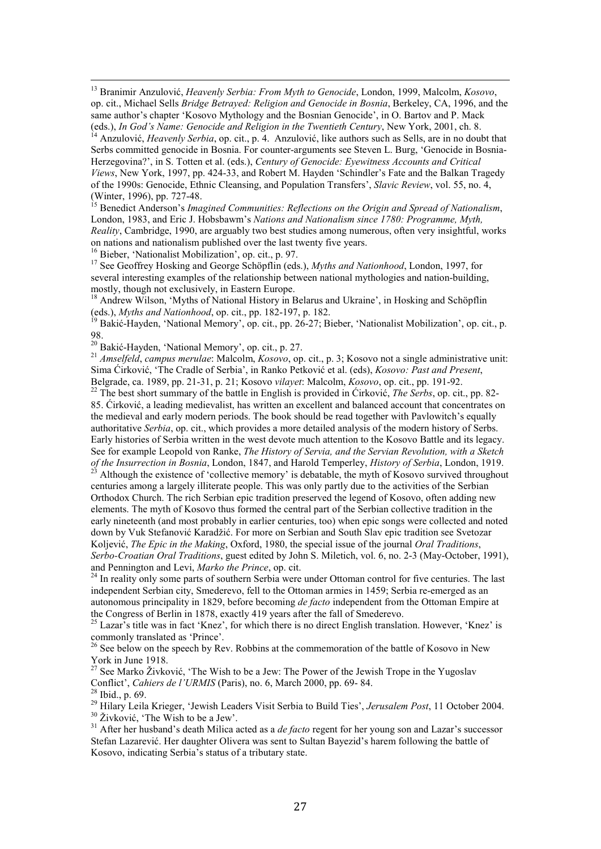<sup>13</sup> Branimir Anzulović, *Heavenly Serbia: From Myth to Genocide*, London, 1999, Malcolm, *Kosovo*, op. cit., Michael Sells *Bridge Betrayed: Religion and Genocide in Bosnia*, Berkeley, CA, 1996, and the same author's chapter 'Kosovo Mythology and the Bosnian Genocide', in O. Bartov and P. Mack (eds.), *In God's Name: Genocide and Religion in the Twentieth Century*, New York, 2001, ch. 8.

<sup>4</sup> Anzulović, *Heavenly Serbia*, op. cit., p. 4. Anzulović, like authors such as Sells, are in no doubt that Serbs committed genocide in Bosnia. For counter-arguments see Steven L. Burg, 'Genocide in Bosnia-Herzegovina?', in S. Totten et al. (eds.), *Century of Genocide: Eyewitness Accounts and Critical Views*, New York, 1997, pp. 424-33, and Robert M. Hayden 'Schindler's Fate and the Balkan Tragedy of the 1990s: Genocide, Ethnic Cleansing, and Population Transfers', *Slavic Review*, vol. 55, no. 4, (Winter, 1996), pp. 727-48.

<sup>15</sup> Benedict Anderson's *Imagined Communities: Reflections on the Origin and Spread of Nationalism*, London, 1983, and Eric J. Hobsbawm's *Nations and Nationalism since 1780: Programme, Myth*, *Reality*, Cambridge, 1990, are arguably two best studies among numerous, often very insightful, works on nations and nationalism published over the last twenty five years.

<sup>16</sup> Bieber, 'Nationalist Mobilization', op. cit., p. 97.

 $\overline{a}$ 

<sup>17</sup> See Geoffrey Hosking and George Schöpflin (eds.), *Myths and Nationhood*, London, 1997, for several interesting examples of the relationship between national mythologies and nation-building, mostly, though not exclusively, in Eastern Europe.

<sup>18</sup> Andrew Wilson, 'Myths of National History in Belarus and Ukraine', in Hosking and Schöpflin (eds.), *Myths and Nationhood*, op. cit., pp. 182-197, p. 182.

<sup>19</sup> Bakić-Hayden, 'National Memory', op. cit., pp. 26-27; Bieber, 'Nationalist Mobilization', op. cit., p. 98.

<sup>20</sup> Bakić-Hayden, 'National Memory', op. cit., p. 27.

<sup>21</sup> *Amselfeld*, *campus merulae*: Malcolm, *Kosovo*, op. cit., p. 3; Kosovo not a single administrative unit: Sima Ćirković, 'The Cradle of Serbia', in Ranko Petković et al. (eds), *Kosovo: Past and Present*, Belgrade, ca. 1989, pp. 21-31, p. 21; Kosovo *vilayet*: Malcolm, *Kosovo*, op. cit., pp. 191-92.

<sup>22</sup> The best short summary of the battle in English is provided in Ćirković, *The Serbs*, op. cit., pp. 82- 85. Ćirković, a leading medievalist, has written an excellent and balanced account that concentrates on the medieval and early modern periods. The book should be read together with Pavlowitch's equally authoritative *Serbia*, op. cit., which provides a more detailed analysis of the modern history of Serbs. Early histories of Serbia written in the west devote much attention to the Kosovo Battle and its legacy. See for example Leopold von Ranke, *The History of Servia, and the Servian Revolution, with a Sketch of the Insurrection in Bosnia*, London, 1847, and Harold Temperley, *History of Serbia*, London, 1919.

<sup>23</sup> Although the existence of 'collective memory' is debatable, the myth of Kosovo survived throughout centuries among a largely illiterate people. This was only partly due to the activities of the Serbian Orthodox Church. The rich Serbian epic tradition preserved the legend of Kosovo, often adding new elements. The myth of Kosovo thus formed the central part of the Serbian collective tradition in the early nineteenth (and most probably in earlier centuries, too) when epic songs were collected and noted down by Vuk Stefanović Karadžić. For more on Serbian and South Slav epic tradition see Svetozar Koljević, *The Epic in the Making*, Oxford, 1980, the special issue of the journal *Oral Traditions*, *Serbo-Croatian Oral Traditions*, guest edited by John S. Miletich, vol. 6, no. 2-3 (May-October, 1991), and Pennington and Levi, *Marko the Prince*, op. cit.

<sup>24</sup> In reality only some parts of southern Serbia were under Ottoman control for five centuries. The last independent Serbian city, Smederevo, fell to the Ottoman armies in 1459; Serbia re-emerged as an autonomous principality in 1829, before becoming *de facto* independent from the Ottoman Empire at the Congress of Berlin in 1878, exactly 419 years after the fall of Smederevo.

<sup>25</sup> Lazar's title was in fact 'Knez', for which there is no direct English translation. However, 'Knez' is commonly translated as 'Prince'.

<sup>26</sup> See below on the speech by Rev. Robbins at the commemoration of the battle of Kosovo in New York in June 1918.

 $27$  See Marko Živković, 'The Wish to be a Jew: The Power of the Jewish Trope in the Yugoslav Conflict', *Cahiers de l'URMIS* (Paris), no. 6, March 2000, pp. 69- 84.  $28$  Ibid., p. 69.

<sup>29</sup> Hilary Leila Krieger, 'Jewish Leaders Visit Serbia to Build Ties', *Jerusalem Post*, 11 October 2004. <sup>30</sup> Živković, 'The Wish to be a Jew'.

<sup>31</sup> After her husband's death Milica acted as a *de facto* regent for her young son and Lazar's successor Stefan Lazarević. Her daughter Olivera was sent to Sultan Bayezid's harem following the battle of Kosovo, indicating Serbia's status of a tributary state.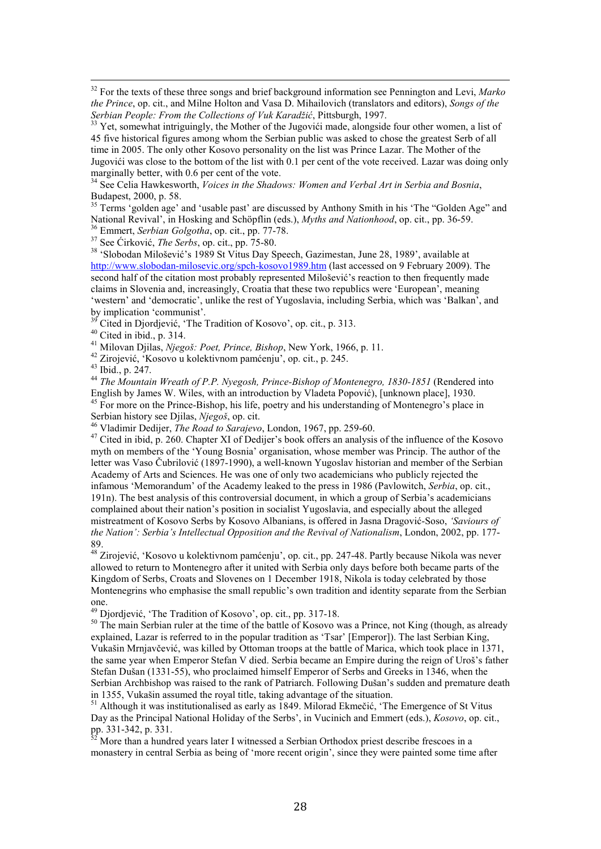<sup>32</sup> For the texts of these three songs and brief background information see Pennington and Levi, *Marko the Prince*, op. cit., and Milne Holton and Vasa D. Mihailovich (translators and editors), *Songs of the Serbian People: From the Collections of Vuk Karadžić*, Pittsburgh, 1997.

<sup>33</sup> Yet, somewhat intriguingly, the Mother of the Jugovići made, alongside four other women, a list of 45 five historical figures among whom the Serbian public was asked to chose the greatest Serb of all time in 2005. The only other Kosovo personality on the list was Prince Lazar. The Mother of the Jugovići was close to the bottom of the list with 0.1 per cent of the vote received. Lazar was doing only marginally better, with 0.6 per cent of the vote.

<sup>34</sup> See Celia Hawkesworth, *Voices in the Shadows: Women and Verbal Art in Serbia and Bosnia*, Budapest, 2000, p. 58.

<sup>35</sup> Terms 'golden age' and 'usable past' are discussed by Anthony Smith in his 'The "Golden Age" and National Revival', in Hosking and Schöpflin (eds.), *Myths and Nationhood*, op. cit., pp. 36-59.

<sup>36</sup> Emmert, *Serbian Golgotha*, op. cit., pp. 77-78.

<sup>37</sup> See Ćirković, *The Serbs*, op. cit., pp. 75-80.

<sup>38</sup> 'Slobodan Milošević's 1989 St Vitus Day Speech, Gazimestan, June 28, 1989', available at http://www.slobodan-milosevic.org/spch-kosovo1989.htm (last accessed on 9 February 2009). The second half of the citation most probably represented Milošević's reaction to then frequently made claims in Slovenia and, increasingly, Croatia that these two republics were 'European', meaning 'western' and 'democratic', unlike the rest of Yugoslavia, including Serbia, which was 'Balkan', and by implication 'communist'.

<sup>39</sup> Cited in Djordjević, 'The Tradition of Kosovo', op. cit., p. 313.

 $40$  Cited in ibid., p. 314.

<sup>41</sup> Milovan Djilas, *4jegoš: Poet, Prince, Bishop*, New York, 1966, p. 11.

<sup>42</sup> Zirojević, 'Kosovo u kolektivnom pamćenju', op. cit., p. 245.

<sup>43</sup> Ibid., p. 247.

 $\overline{a}$ 

<sup>44</sup> *The Mountain Wreath of P.P. Nyegosh, Prince-Bishop of Montenegro, 1830-1851* (Rendered into English by James W. Wiles, with an introduction by Vladeta Popović), [unknown place], 1930. <sup>45</sup> For more on the Prince-Bishop, his life, poetry and his understanding of Montenegro's place in Serbian history see Djilas, Njegoš, op. cit.

<sup>46</sup> Vladimir Dedijer, *The Road to Sarajevo*, London, 1967, pp. 259-60.

<sup>47</sup> Cited in ibid, p. 260. Chapter XI of Dedijer's book offers an analysis of the influence of the Kosovo myth on members of the 'Young Bosnia' organisation, whose member was Princip. The author of the letter was Vaso Čubrilović (1897-1990), a well-known Yugoslav historian and member of the Serbian Academy of Arts and Sciences. He was one of only two academicians who publicly rejected the infamous 'Memorandum' of the Academy leaked to the press in 1986 (Pavlowitch, *Serbia*, op. cit., 191n). The best analysis of this controversial document, in which a group of Serbia's academicians complained about their nation's position in socialist Yugoslavia, and especially about the alleged mistreatment of Kosovo Serbs by Kosovo Albanians, is offered in Jasna Dragović-Soso, *'Saviours of the 4ation': Serbia's Intellectual Opposition and the Revival of 4ationalism*, London, 2002, pp. 177- 89.

<sup>48</sup> Zirojević, 'Kosovo u kolektivnom pamćenju', op. cit., pp. 247-48. Partly because Nikola was never allowed to return to Montenegro after it united with Serbia only days before both became parts of the Kingdom of Serbs, Croats and Slovenes on 1 December 1918, Nikola is today celebrated by those Montenegrins who emphasise the small republic's own tradition and identity separate from the Serbian one.

<sup>49</sup> Djordjević, 'The Tradition of Kosovo', op. cit., pp. 317-18.

<sup>50</sup> The main Serbian ruler at the time of the battle of Kosovo was a Prince, not King (though, as already explained, Lazar is referred to in the popular tradition as 'Tsar' [Emperor]). The last Serbian King, Vukašin Mrnjavčević, was killed by Ottoman troops at the battle of Marica, which took place in 1371, the same year when Emperor Stefan V died. Serbia became an Empire during the reign of Uroš's father Stefan Dušan (1331-55), who proclaimed himself Emperor of Serbs and Greeks in 1346, when the Serbian Archbishop was raised to the rank of Patriarch. Following Dušan's sudden and premature death in 1355, Vukašin assumed the royal title, taking advantage of the situation.

<sup>51</sup> Although it was institutionalised as early as 1849. Milorad Ekmečić, 'The Emergence of St Vitus Day as the Principal National Holiday of the Serbs', in Vucinich and Emmert (eds.), *Kosovo*, op. cit., pp. 331-342, p. 331.

More than a hundred years later I witnessed a Serbian Orthodox priest describe frescoes in a monastery in central Serbia as being of 'more recent origin', since they were painted some time after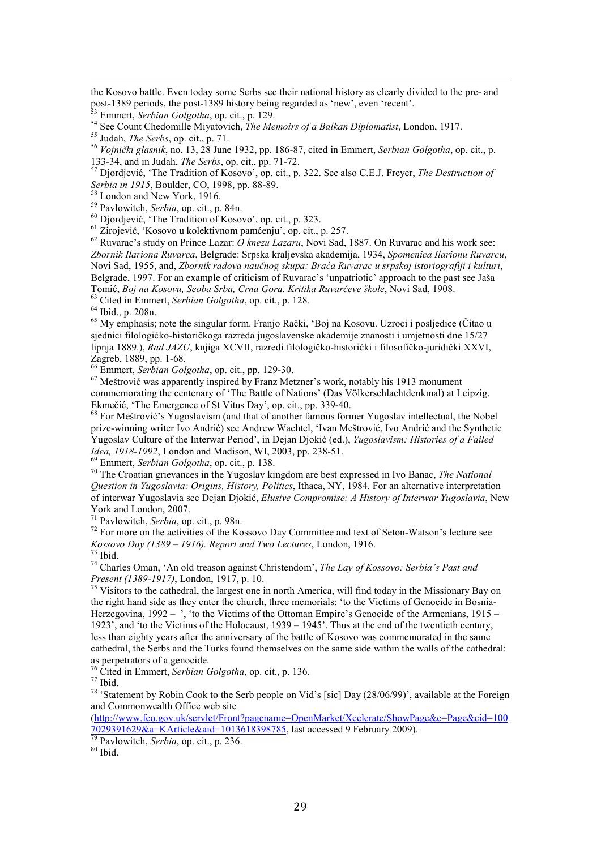the Kosovo battle. Even today some Serbs see their national history as clearly divided to the pre- and post-1389 periods, the post-1389 history being regarded as 'new', even 'recent'.

<sup>53</sup> Emmert, *Serbian Golgotha*, op. cit., p. 129.

<sup>54</sup> See Count Chedomille Miyatovich, *The Memoirs of a Balkan Diplomatist*, London, 1917.

<sup>55</sup> Judah, *The Serbs*, op. cit., p. 71.

 $\overline{a}$ 

<sup>56</sup> *Vojnički glasnik*, no. 13, 28 June 1932, pp. 186-87, cited in Emmert, *Serbian Golgotha*, op. cit., p. 133-34, and in Judah, *The Serbs*, op. cit., pp. 71-72.

<sup>57</sup> Djordjević, 'The Tradition of Kosovo', op. cit., p. 322. See also C.E.J. Freyer, *The Destruction of Serbia in 1915*, Boulder, CO, 1998, pp. 88-89.

<sup>58</sup> London and New York, 1916.

<sup>59</sup> Pavlowitch, *Serbia*, op. cit., p. 84n.

<sup>60</sup> Djordjević, 'The Tradition of Kosovo', op. cit., p. 323.

<sup>61</sup> Zirojević, 'Kosovo u kolektivnom pamćenju', op. cit., p. 257.

<sup>62</sup> Ruvarac's study on Prince Lazar: *O knezu Lazaru*, Novi Sad, 1887. On Ruvarac and his work see: *Zbornik Ilariona Ruvarca*, Belgrade: Srpska kraljevska akademija, 1934, *Spomenica Ilarionu Ruvarcu*, Novi Sad, 1955, and, *Zbornik radova naučnog skupa: Braća Ruvarac u srpskoj istoriografiji i kulturi*, Belgrade, 1997. For an example of criticism of Ruvarac's 'unpatriotic' approach to the past see Jaša Tomić, *Boj na Kosovu, Seoba Srba, Crna Gora. Kritika Ruvarčeve škole*, Novi Sad, 1908. <sup>63</sup> Cited in Emmert, *Serbian Golgotha*, op. cit., p. 128.

 $64$  Ibid., p. 208n.

<sup>65</sup> My emphasis; note the singular form. Franjo Rački, 'Boj na Kosovu. Uzroci i posljedice (Čitao u sjednici filologičko-historičkoga razreda jugoslavenske akademije znanosti i umjetnosti dne 15/27 lipnja 1889.), *Rad JAZU*, knjiga XCVII, razredi filologičko-historički i filosofičko-juridički XXVI, Zagreb, 1889, pp. 1-68.

<sup>66</sup> Emmert, *Serbian Golgotha*, op. cit., pp. 129-30.

<sup>67</sup> Meštrović was apparently inspired by Franz Metzner's work, notably his 1913 monument commemorating the centenary of 'The Battle of Nations' (Das Völkerschlachtdenkmal) at Leipzig. Ekmečić, 'The Emergence of St Vitus Day', op. cit., pp. 339-40.

<sup>68</sup> For Meštrović's Yugoslavism (and that of another famous former Yugoslav intellectual, the Nobel prize-winning writer Ivo Andrić) see Andrew Wachtel, 'Ivan Meštrović, Ivo Andrić and the Synthetic Yugoslav Culture of the Interwar Period', in Dejan Djokić (ed.), *Yugoslavism: Histories of a Failed Idea, 1918-1992*, London and Madison, WI, 2003, pp. 238-51.

<sup>69</sup> Emmert, *Serbian Golgotha*, op. cit., p. 138.

<sup>70</sup> The Croatian grievances in the Yugoslav kingdom are best expressed in Ivo Banac, *The National Question in Yugoslavia: Origins, History, Politics*, Ithaca, NY, 1984. For an alternative interpretation of interwar Yugoslavia see Dejan Djokić, *Elusive Compromise: A History of Interwar Yugoslavia*, New York and London, 2007.

<sup>71</sup> Pavlowitch, *Serbia*, op. cit., p. 98n.

 $72$  For more on the activities of the Kossovo Day Committee and text of Seton-Watson's lecture see *Kossovo Day (1389 – 1916). Report and Two Lectures*, London, 1916.

 $73$  Ibid.

<sup>74</sup> Charles Oman, 'An old treason against Christendom', *The Lay of Kossovo: Serbia's Past and Present (1389-1917)*, London, 1917, p. 10.

 $75$  Visitors to the cathedral, the largest one in north America, will find today in the Missionary Bay on the right hand side as they enter the church, three memorials: 'to the Victims of Genocide in Bosnia-Herzegovina, 1992 – ', 'to the Victims of the Ottoman Empire's Genocide of the Armenians, 1915 – 1923', and 'to the Victims of the Holocaust, 1939 – 1945'. Thus at the end of the twentieth century, less than eighty years after the anniversary of the battle of Kosovo was commemorated in the same cathedral, the Serbs and the Turks found themselves on the same side within the walls of the cathedral: as perpetrators of a genocide.

<sup>76</sup> Cited in Emmert, *Serbian Golgotha*, op. cit., p. 136.

 $77$  Ibid.

<sup>78</sup> 'Statement by Robin Cook to the Serb people on Vid's [sic] Day (28/06/99)', available at the Foreign and Commonwealth Office web site

(http://www.fco.gov.uk/servlet/Front?pagename=OpenMarket/Xcelerate/ShowPage&c=Page&cid=100 7029391629&a=KArticle&aid=1013618398785, last accessed 9 February 2009).

<sup>79</sup> Pavlowitch, *Serbia*, op. cit., p. 236.

 $80$  Ibid.